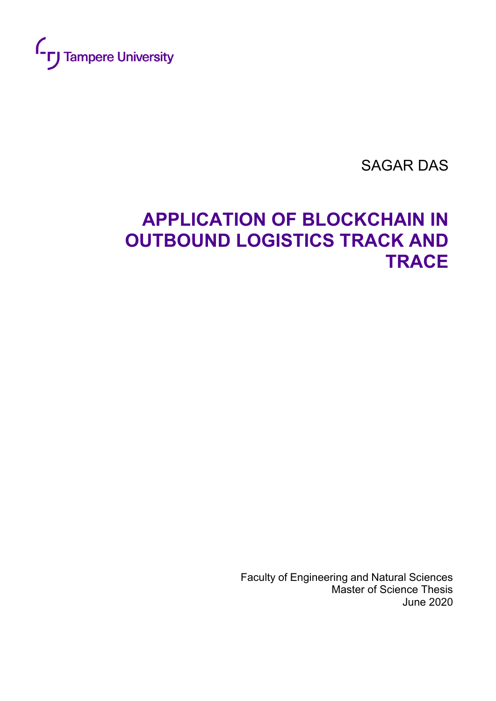

SAGAR DAS

# **APPLICATION OF BLOCKCHAIN IN OUTBOUND LOGISTICS TRACK AND TRACE**

 Faculty of Engineering and Natural Sciences Master of Science Thesis June 2020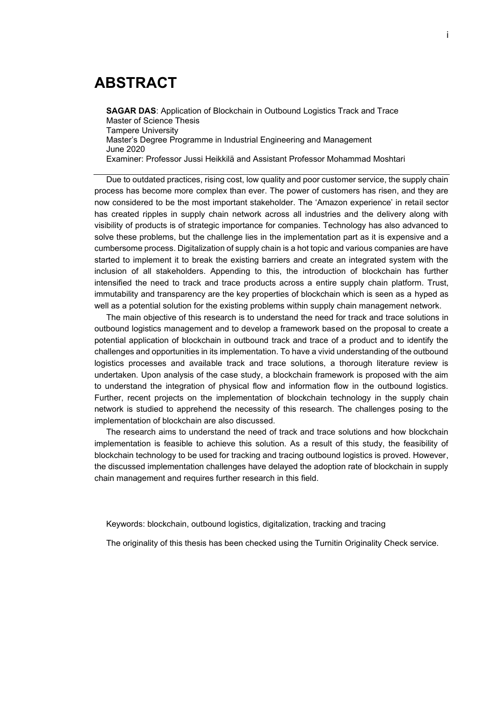# **ABSTRACT**

**SAGAR DAS**: Application of Blockchain in Outbound Logistics Track and Trace Master of Science Thesis Tampere University Master's Degree Programme in Industrial Engineering and Management June 2020 Examiner: Professor Jussi Heikkilä and Assistant Professor Mohammad Moshtari

Due to outdated practices, rising cost, low quality and poor customer service, the supply chain process has become more complex than ever. The power of customers has risen, and they are now considered to be the most important stakeholder. The 'Amazon experience' in retail sector has created ripples in supply chain network across all industries and the delivery along with visibility of products is of strategic importance for companies. Technology has also advanced to solve these problems, but the challenge lies in the implementation part as it is expensive and a cumbersome process. Digitalization of supply chain is a hot topic and various companies are have started to implement it to break the existing barriers and create an integrated system with the inclusion of all stakeholders. Appending to this, the introduction of blockchain has further intensified the need to track and trace products across a entire supply chain platform. Trust, immutability and transparency are the key properties of blockchain which is seen as a hyped as well as a potential solution for the existing problems within supply chain management network.

The main objective of this research is to understand the need for track and trace solutions in outbound logistics management and to develop a framework based on the proposal to create a potential application of blockchain in outbound track and trace of a product and to identify the challenges and opportunities in its implementation. To have a vivid understanding of the outbound logistics processes and available track and trace solutions, a thorough literature review is undertaken. Upon analysis of the case study, a blockchain framework is proposed with the aim to understand the integration of physical flow and information flow in the outbound logistics. Further, recent projects on the implementation of blockchain technology in the supply chain network is studied to apprehend the necessity of this research. The challenges posing to the implementation of blockchain are also discussed.

The research aims to understand the need of track and trace solutions and how blockchain implementation is feasible to achieve this solution. As a result of this study, the feasibility of blockchain technology to be used for tracking and tracing outbound logistics is proved. However, the discussed implementation challenges have delayed the adoption rate of blockchain in supply chain management and requires further research in this field.

Keywords: blockchain, outbound logistics, digitalization, tracking and tracing

The originality of this thesis has been checked using the Turnitin Originality Check service.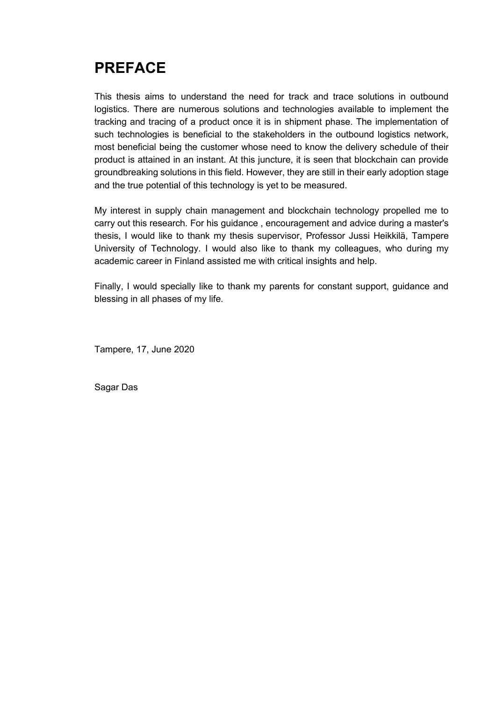# **PREFACE**

This thesis aims to understand the need for track and trace solutions in outbound logistics. There are numerous solutions and technologies available to implement the tracking and tracing of a product once it is in shipment phase. The implementation of such technologies is beneficial to the stakeholders in the outbound logistics network, most beneficial being the customer whose need to know the delivery schedule of their product is attained in an instant. At this juncture, it is seen that blockchain can provide groundbreaking solutions in this field. However, they are still in their early adoption stage and the true potential of this technology is yet to be measured.

My interest in supply chain management and blockchain technology propelled me to carry out this research. For his guidance , encouragement and advice during a master's thesis, I would like to thank my thesis supervisor, Professor Jussi Heikkilä, Tampere University of Technology. I would also like to thank my colleagues, who during my academic career in Finland assisted me with critical insights and help.

Finally, I would specially like to thank my parents for constant support, guidance and blessing in all phases of my life.

Tampere, 17, June 2020

Sagar Das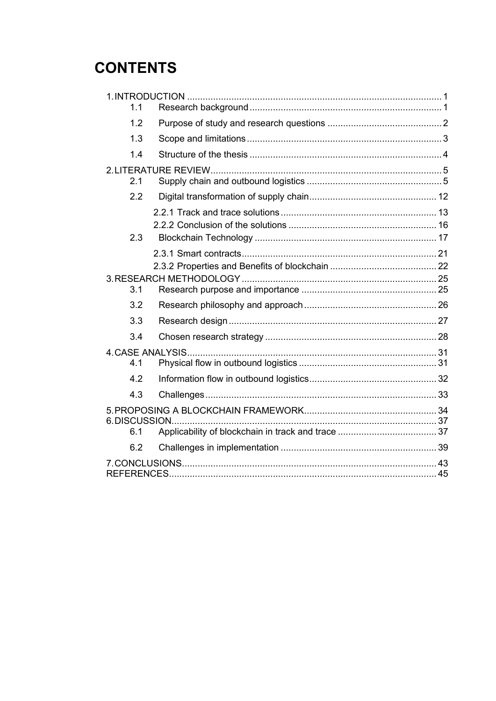# **CONTENTS**

| 1.1 |  |
|-----|--|
| 1.2 |  |
| 1.3 |  |
| 1.4 |  |
|     |  |
| 2.1 |  |
| 2.2 |  |
|     |  |
|     |  |
| 2.3 |  |
|     |  |
|     |  |
| 3.1 |  |
| 3.2 |  |
|     |  |
| 3.3 |  |
| 3.4 |  |
|     |  |
| 4.1 |  |
| 4.2 |  |
| 4.3 |  |
|     |  |
| 6.1 |  |
|     |  |
| 6.2 |  |
|     |  |
|     |  |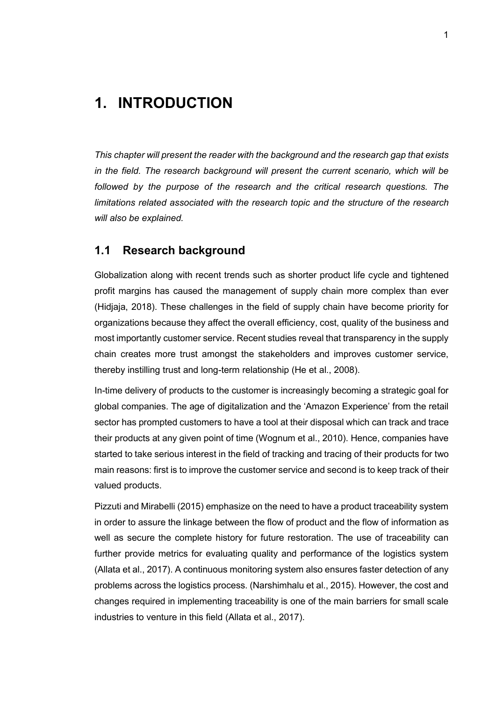## <span id="page-4-0"></span>**1. INTRODUCTION**

*This chapter will present the reader with the background and the research gap that exists in the field. The research background will present the current scenario, which will be followed by the purpose of the research and the critical research questions. The limitations related associated with the research topic and the structure of the research will also be explained.*

### <span id="page-4-1"></span>**1.1 Research background**

Globalization along with recent trends such as shorter product life cycle and tightened profit margins has caused the management of supply chain more complex than ever (Hidjaja, 2018). These challenges in the field of supply chain have become priority for organizations because they affect the overall efficiency, cost, quality of the business and most importantly customer service. Recent studies reveal that transparency in the supply chain creates more trust amongst the stakeholders and improves customer service, thereby instilling trust and long-term relationship (He et al., 2008).

In-time delivery of products to the customer is increasingly becoming a strategic goal for global companies. The age of digitalization and the 'Amazon Experience' from the retail sector has prompted customers to have a tool at their disposal which can track and trace their products at any given point of time (Wognum et al., 2010). Hence, companies have started to take serious interest in the field of tracking and tracing of their products for two main reasons: first is to improve the customer service and second is to keep track of their valued products.

Pizzuti and Mirabelli (2015) emphasize on the need to have a product traceability system in order to assure the linkage between the flow of product and the flow of information as well as secure the complete history for future restoration. The use of traceability can further provide metrics for evaluating quality and performance of the logistics system (Allata et al., 2017). A continuous monitoring system also ensures faster detection of any problems across the logistics process. (Narshimhalu et al., 2015). However, the cost and changes required in implementing traceability is one of the main barriers for small scale industries to venture in this field (Allata et al., 2017).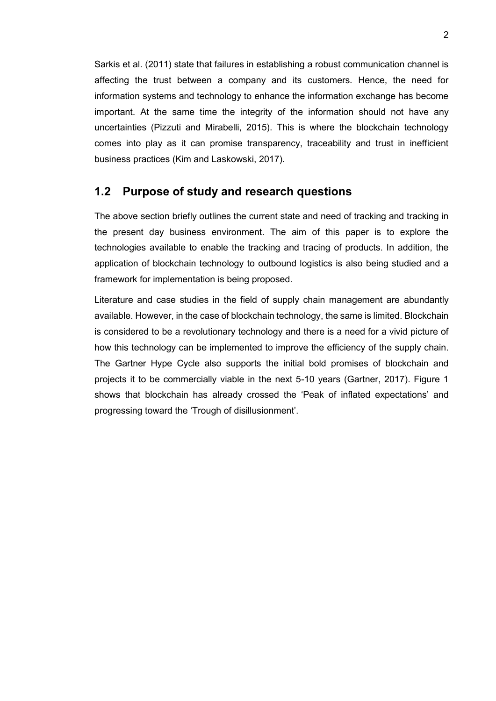Sarkis et al. (2011) state that failures in establishing a robust communication channel is affecting the trust between a company and its customers. Hence, the need for information systems and technology to enhance the information exchange has become important. At the same time the integrity of the information should not have any uncertainties (Pizzuti and Mirabelli, 2015). This is where the blockchain technology comes into play as it can promise transparency, traceability and trust in inefficient business practices (Kim and Laskowski, 2017).

#### <span id="page-5-0"></span>**1.2 Purpose of study and research questions**

The above section briefly outlines the current state and need of tracking and tracking in the present day business environment. The aim of this paper is to explore the technologies available to enable the tracking and tracing of products. In addition, the application of blockchain technology to outbound logistics is also being studied and a framework for implementation is being proposed.

Literature and case studies in the field of supply chain management are abundantly available. However, in the case of blockchain technology, the same is limited. Blockchain is considered to be a revolutionary technology and there is a need for a vivid picture of how this technology can be implemented to improve the efficiency of the supply chain. The Gartner Hype Cycle also supports the initial bold promises of blockchain and projects it to be commercially viable in the next 5-10 years (Gartner, 2017). Figure 1 shows that blockchain has already crossed the 'Peak of inflated expectations' and progressing toward the 'Trough of disillusionment'.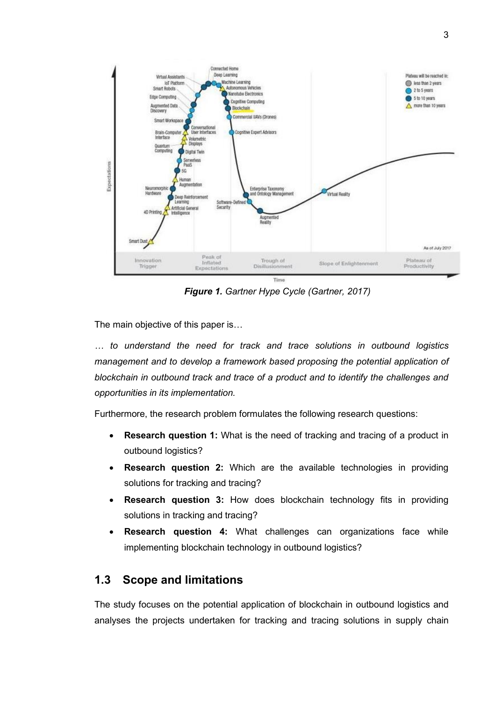

*Figure 1. Gartner Hype Cycle (Gartner, 2017)*

The main objective of this paper is…

*… to understand the need for track and trace solutions in outbound logistics management and to develop a framework based proposing the potential application of blockchain in outbound track and trace of a product and to identify the challenges and opportunities in its implementation.*

Furthermore, the research problem formulates the following research questions:

- **Research question 1:** What is the need of tracking and tracing of a product in outbound logistics?
- **Research question 2:** Which are the available technologies in providing solutions for tracking and tracing?
- **Research question 3:** How does blockchain technology fits in providing solutions in tracking and tracing?
- **Research question 4:** What challenges can organizations face while implementing blockchain technology in outbound logistics?

### <span id="page-6-0"></span>**1.3 Scope and limitations**

The study focuses on the potential application of blockchain in outbound logistics and analyses the projects undertaken for tracking and tracing solutions in supply chain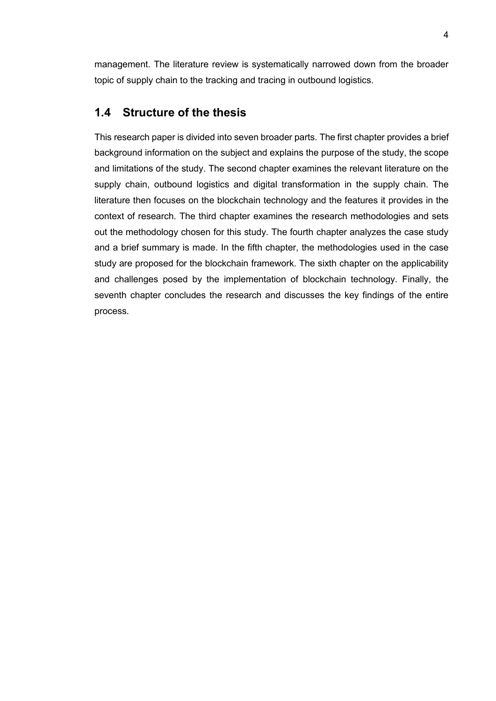management. The literature review is systematically narrowed down from the broader topic of supply chain to the tracking and tracing in outbound logistics.

#### <span id="page-7-0"></span>**1.4 Structure of the thesis**

This research paper is divided into seven broader parts. The first chapter provides a brief background information on the subject and explains the purpose of the study, the scope and limitations of the study. The second chapter examines the relevant literature on the supply chain, outbound logistics and digital transformation in the supply chain. The literature then focuses on the blockchain technology and the features it provides in the context of research. The third chapter examines the research methodologies and sets out the methodology chosen for this study. The fourth chapter analyzes the case study and a brief summary is made. In the fifth chapter, the methodologies used in the case study are proposed for the blockchain framework. The sixth chapter on the applicability and challenges posed by the implementation of blockchain technology. Finally, the seventh chapter concludes the research and discusses the key findings of the entire process.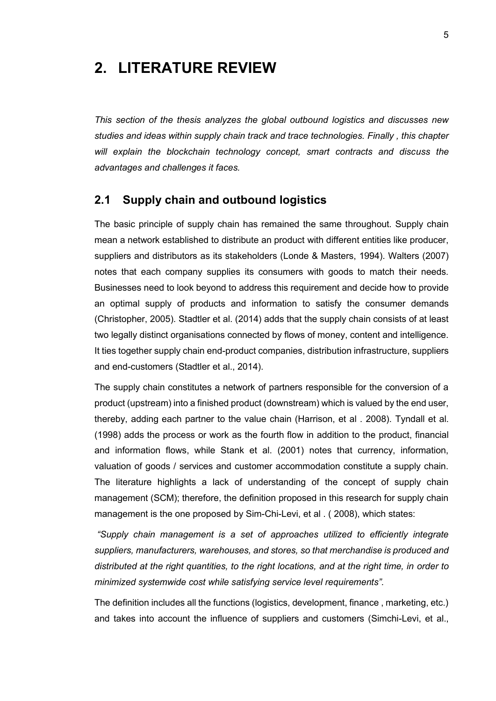# <span id="page-8-0"></span>**2. LITERATURE REVIEW**

*This section of the thesis analyzes the global outbound logistics and discusses new studies and ideas within supply chain track and trace technologies. Finally , this chapter will explain the blockchain technology concept, smart contracts and discuss the advantages and challenges it faces.*

#### <span id="page-8-1"></span>**2.1 Supply chain and outbound logistics**

The basic principle of supply chain has remained the same throughout. Supply chain mean a network established to distribute an product with different entities like producer, suppliers and distributors as its stakeholders (Londe & Masters, 1994). Walters (2007) notes that each company supplies its consumers with goods to match their needs. Businesses need to look beyond to address this requirement and decide how to provide an optimal supply of products and information to satisfy the consumer demands (Christopher, 2005). Stadtler et al. (2014) adds that the supply chain consists of at least two legally distinct organisations connected by flows of money, content and intelligence. It ties together supply chain end-product companies, distribution infrastructure, suppliers and end-customers (Stadtler et al., 2014).

The supply chain constitutes a network of partners responsible for the conversion of a product (upstream) into a finished product (downstream) which is valued by the end user, thereby, adding each partner to the value chain (Harrison, et al . 2008). Tyndall et al. (1998) adds the process or work as the fourth flow in addition to the product, financial and information flows, while Stank et al. (2001) notes that currency, information, valuation of goods / services and customer accommodation constitute a supply chain. The literature highlights a lack of understanding of the concept of supply chain management (SCM); therefore, the definition proposed in this research for supply chain management is the one proposed by Sim-Chi-Levi, et al . ( 2008), which states:

*"Supply chain management is a set of approaches utilized to efficiently integrate suppliers, manufacturers, warehouses, and stores, so that merchandise is produced and distributed at the right quantities, to the right locations, and at the right time, in order to minimized systemwide cost while satisfying service level requirements".*

The definition includes all the functions (logistics, development, finance , marketing, etc.) and takes into account the influence of suppliers and customers (Simchi-Levi, et al.,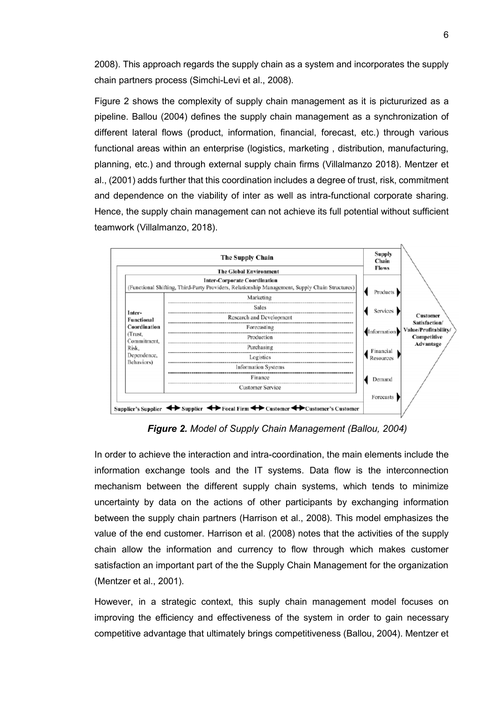2008). This approach regards the supply chain as a system and incorporates the supply chain partners process (Simchi-Levi et al., 2008).

Figure 2 shows the complexity of supply chain management as it is pictururized as a pipeline. Ballou (2004) defines the supply chain management as a synchronization of different lateral flows (product, information, financial, forecast, etc.) through various functional areas within an enterprise (logistics, marketing , distribution, manufacturing, planning, etc.) and through external supply chain firms (Villalmanzo 2018). Mentzer et al., (2001) adds further that this coordination includes a degree of trust, risk, commitment and dependence on the viability of inter as well as intra-functional corporate sharing. Hence, the supply chain management can not achieve its full potential without sufficient teamwork (Villalmanzo, 2018).



*Figure 2. Model of Supply Chain Management (Ballou, 2004)*

In order to achieve the interaction and intra-coordination, the main elements include the information exchange tools and the IT systems. Data flow is the interconnection mechanism between the different supply chain systems, which tends to minimize uncertainty by data on the actions of other participants by exchanging information between the supply chain partners (Harrison et al., 2008). This model emphasizes the value of the end customer. Harrison et al. (2008) notes that the activities of the supply chain allow the information and currency to flow through which makes customer satisfaction an important part of the the Supply Chain Management for the organization (Mentzer et al., 2001).

However, in a strategic context, this suply chain management model focuses on improving the efficiency and effectiveness of the system in order to gain necessary competitive advantage that ultimately brings competitiveness (Ballou, 2004). Mentzer et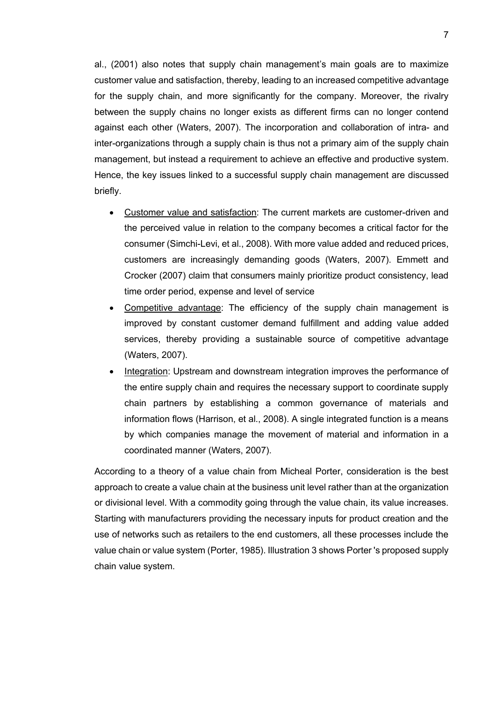al., (2001) also notes that supply chain management's main goals are to maximize customer value and satisfaction, thereby, leading to an increased competitive advantage for the supply chain, and more significantly for the company. Moreover, the rivalry between the supply chains no longer exists as different firms can no longer contend against each other (Waters, 2007). The incorporation and collaboration of intra- and inter-organizations through a supply chain is thus not a primary aim of the supply chain management, but instead a requirement to achieve an effective and productive system. Hence, the key issues linked to a successful supply chain management are discussed briefly.

- Customer value and satisfaction: The current markets are customer-driven and the perceived value in relation to the company becomes a critical factor for the consumer (Simchi-Levi, et al., 2008). With more value added and reduced prices, customers are increasingly demanding goods (Waters, 2007). Emmett and Crocker (2007) claim that consumers mainly prioritize product consistency, lead time order period, expense and level of service
- Competitive advantage: The efficiency of the supply chain management is improved by constant customer demand fulfillment and adding value added services, thereby providing a sustainable source of competitive advantage (Waters, 2007).
- Integration: Upstream and downstream integration improves the performance of the entire supply chain and requires the necessary support to coordinate supply chain partners by establishing a common governance of materials and information flows (Harrison, et al., 2008). A single integrated function is a means by which companies manage the movement of material and information in a coordinated manner (Waters, 2007).

According to a theory of a value chain from Micheal Porter, consideration is the best approach to create a value chain at the business unit level rather than at the organization or divisional level. With a commodity going through the value chain, its value increases. Starting with manufacturers providing the necessary inputs for product creation and the use of networks such as retailers to the end customers, all these processes include the value chain or value system (Porter, 1985). Illustration 3 shows Porter 's proposed supply chain value system.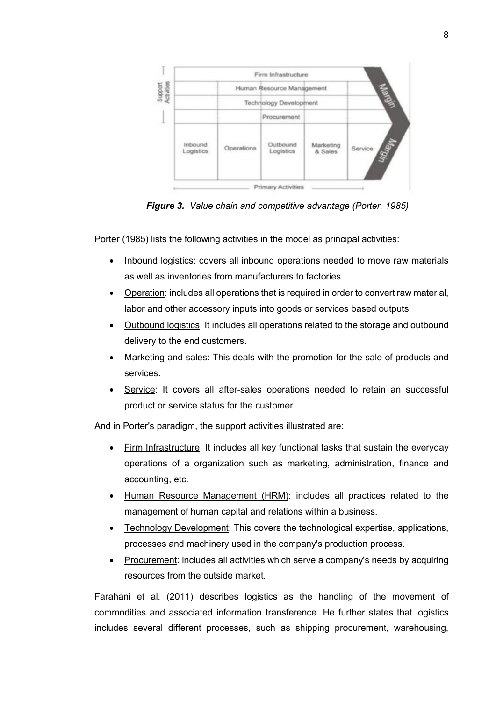

*Figure 3. Value chain and competitive advantage (Porter, 1985)*

Porter (1985) lists the following activities in the model as principal activities:

- Inbound logistics: covers all inbound operations needed to move raw materials as well as inventories from manufacturers to factories.
- Operation: includes all operations that is required in order to convert raw material, labor and other accessory inputs into goods or services based outputs.
- Outbound logistics: It includes all operations related to the storage and outbound delivery to the end customers.
- Marketing and sales: This deals with the promotion for the sale of products and services.
- Service: It covers all after-sales operations needed to retain an successful product or service status for the customer.

And in Porter's paradigm, the support activities illustrated are:

- Firm Infrastructure: It includes all key functional tasks that sustain the everyday operations of a organization such as marketing, administration, finance and accounting, etc.
- Human Resource Management (HRM): includes all practices related to the management of human capital and relations within a business.
- Technology Development: This covers the technological expertise, applications, processes and machinery used in the company's production process.
- Procurement: includes all activities which serve a company's needs by acquiring resources from the outside market.

Farahani et al. (2011) describes logistics as the handling of the movement of commodities and associated information transference. He further states that logistics includes several different processes, such as shipping procurement, warehousing,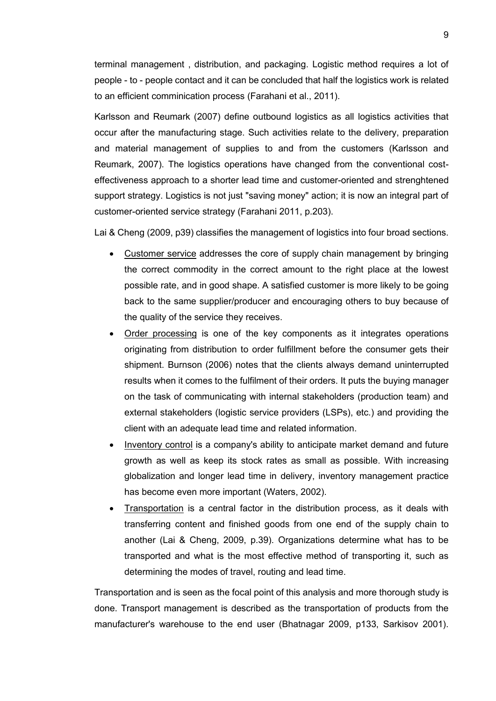terminal management , distribution, and packaging. Logistic method requires a lot of people - to - people contact and it can be concluded that half the logistics work is related to an efficient comminication process (Farahani et al., 2011).

Karlsson and Reumark (2007) define outbound logistics as all logistics activities that occur after the manufacturing stage. Such activities relate to the delivery, preparation and material management of supplies to and from the customers (Karlsson and Reumark, 2007). The logistics operations have changed from the conventional costeffectiveness approach to a shorter lead time and customer-oriented and strenghtened support strategy. Logistics is not just "saving money" action; it is now an integral part of customer-oriented service strategy (Farahani 2011, p.203).

Lai & Cheng (2009, p39) classifies the management of logistics into four broad sections.

- Customer service addresses the core of supply chain management by bringing the correct commodity in the correct amount to the right place at the lowest possible rate, and in good shape. A satisfied customer is more likely to be going back to the same supplier/producer and encouraging others to buy because of the quality of the service they receives.
- Order processing is one of the key components as it integrates operations originating from distribution to order fulfillment before the consumer gets their shipment. Burnson (2006) notes that the clients always demand uninterrupted results when it comes to the fulfilment of their orders. It puts the buying manager on the task of communicating with internal stakeholders (production team) and external stakeholders (logistic service providers (LSPs), etc.) and providing the client with an adequate lead time and related information.
- Inventory control is a company's ability to anticipate market demand and future growth as well as keep its stock rates as small as possible. With increasing globalization and longer lead time in delivery, inventory management practice has become even more important (Waters, 2002).
- Transportation is a central factor in the distribution process, as it deals with transferring content and finished goods from one end of the supply chain to another (Lai & Cheng, 2009, p.39). Organizations determine what has to be transported and what is the most effective method of transporting it, such as determining the modes of travel, routing and lead time.

Transportation and is seen as the focal point of this analysis and more thorough study is done. Transport management is described as the transportation of products from the manufacturer's warehouse to the end user (Bhatnagar 2009, p133, Sarkisov 2001).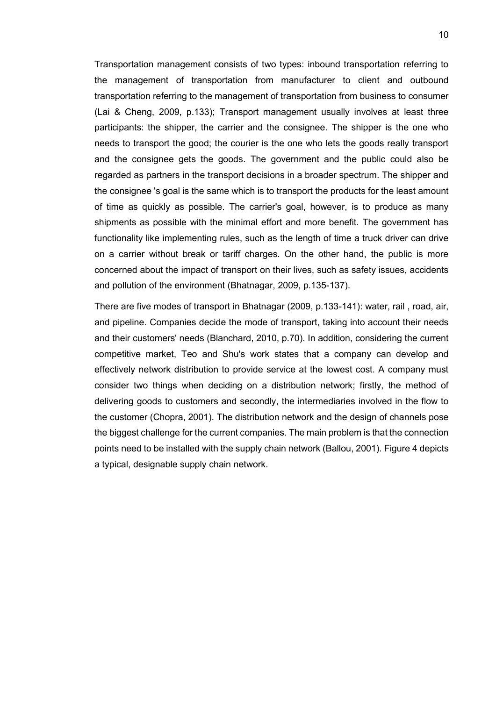Transportation management consists of two types: inbound transportation referring to the management of transportation from manufacturer to client and outbound transportation referring to the management of transportation from business to consumer (Lai & Cheng, 2009, p.133); Transport management usually involves at least three participants: the shipper, the carrier and the consignee. The shipper is the one who needs to transport the good; the courier is the one who lets the goods really transport and the consignee gets the goods. The government and the public could also be regarded as partners in the transport decisions in a broader spectrum. The shipper and the consignee 's goal is the same which is to transport the products for the least amount of time as quickly as possible. The carrier's goal, however, is to produce as many shipments as possible with the minimal effort and more benefit. The government has functionality like implementing rules, such as the length of time a truck driver can drive on a carrier without break or tariff charges. On the other hand, the public is more concerned about the impact of transport on their lives, such as safety issues, accidents and pollution of the environment (Bhatnagar, 2009, p.135-137).

There are five modes of transport in Bhatnagar (2009, p.133-141): water, rail , road, air, and pipeline. Companies decide the mode of transport, taking into account their needs and their customers' needs (Blanchard, 2010, p.70). In addition, considering the current competitive market, Teo and Shu's work states that a company can develop and effectively network distribution to provide service at the lowest cost. A company must consider two things when deciding on a distribution network; firstly, the method of delivering goods to customers and secondly, the intermediaries involved in the flow to the customer (Chopra, 2001). The distribution network and the design of channels pose the biggest challenge for the current companies. The main problem is that the connection points need to be installed with the supply chain network (Ballou, 2001). Figure 4 depicts a typical, designable supply chain network.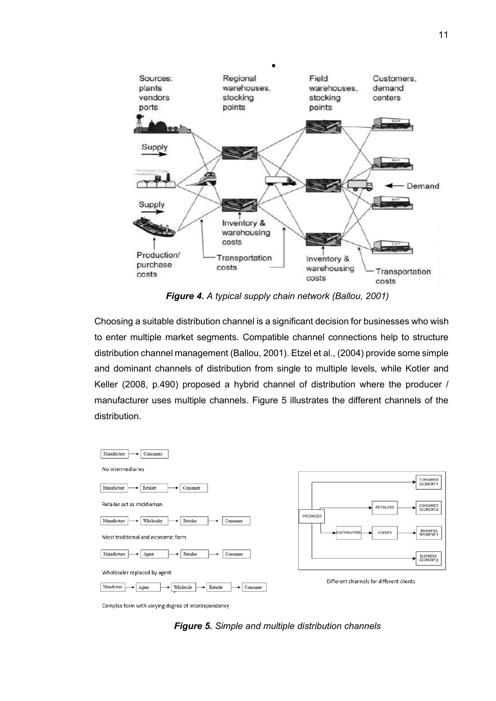

*Figure 4. A typical supply chain network (Ballou, 2001)*

Choosing a suitable distribution channel is a significant decision for businesses who wish to enter multiple market segments. Compatible channel connections help to structure distribution channel management (Ballou, 2001). Etzel et al., (2004) provide some simple and dominant channels of distribution from single to multiple levels, while Kotler and Keller (2008, p.490) proposed a hybrid channel of distribution where the producer / manufacturer uses multiple channels. Figure 5 illustrates the different channels of the distribution.



Complex form with varying degree of interdependency

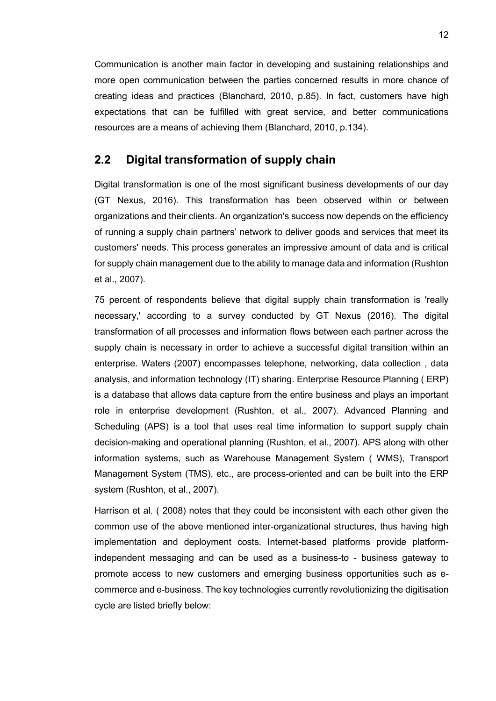Communication is another main factor in developing and sustaining relationships and more open communication between the parties concerned results in more chance of creating ideas and practices (Blanchard, 2010, p.85). In fact, customers have high expectations that can be fulfilled with great service, and better communications resources are a means of achieving them (Blanchard, 2010, p.134).

#### <span id="page-15-0"></span>**2.2 Digital transformation of supply chain**

Digital transformation is one of the most significant business developments of our day (GT Nexus, 2016). This transformation has been observed within or between organizations and their clients. An organization's success now depends on the efficiency of running a supply chain partners' network to deliver goods and services that meet its customers' needs. This process generates an impressive amount of data and is critical for supply chain management due to the ability to manage data and information (Rushton et al., 2007).

75 percent of respondents believe that digital supply chain transformation is 'really necessary,' according to a survey conducted by GT Nexus (2016). The digital transformation of all processes and information flows between each partner across the supply chain is necessary in order to achieve a successful digital transition within an enterprise. Waters (2007) encompasses telephone, networking, data collection , data analysis, and information technology (IT) sharing. Enterprise Resource Planning ( ERP) is a database that allows data capture from the entire business and plays an important role in enterprise development (Rushton, et al., 2007). Advanced Planning and Scheduling (APS) is a tool that uses real time information to support supply chain decision-making and operational planning (Rushton, et al., 2007). APS along with other information systems, such as Warehouse Management System ( WMS), Transport Management System (TMS), etc., are process-oriented and can be built into the ERP system (Rushton, et al., 2007).

Harrison et al. ( 2008) notes that they could be inconsistent with each other given the common use of the above mentioned inter-organizational structures, thus having high implementation and deployment costs. Internet-based platforms provide platformindependent messaging and can be used as a business-to - business gateway to promote access to new customers and emerging business opportunities such as ecommerce and e-business. The key technologies currently revolutionizing the digitisation cycle are listed briefly below: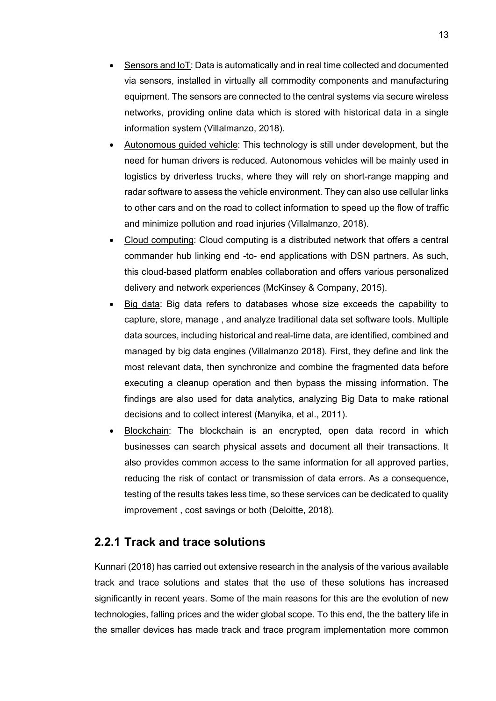- Sensors and IoT: Data is automatically and in real time collected and documented via sensors, installed in virtually all commodity components and manufacturing equipment. The sensors are connected to the central systems via secure wireless networks, providing online data which is stored with historical data in a single information system (Villalmanzo, 2018).
- Autonomous guided vehicle: This technology is still under development, but the need for human drivers is reduced. Autonomous vehicles will be mainly used in logistics by driverless trucks, where they will rely on short-range mapping and radar software to assess the vehicle environment. They can also use cellular links to other cars and on the road to collect information to speed up the flow of traffic and minimize pollution and road injuries (Villalmanzo, 2018).
- Cloud computing: Cloud computing is a distributed network that offers a central commander hub linking end -to- end applications with DSN partners. As such, this cloud-based platform enables collaboration and offers various personalized delivery and network experiences (McKinsey & Company, 2015).
- Big data: Big data refers to databases whose size exceeds the capability to capture, store, manage , and analyze traditional data set software tools. Multiple data sources, including historical and real-time data, are identified, combined and managed by big data engines (Villalmanzo 2018). First, they define and link the most relevant data, then synchronize and combine the fragmented data before executing a cleanup operation and then bypass the missing information. The findings are also used for data analytics, analyzing Big Data to make rational decisions and to collect interest (Manyika, et al., 2011).
- Blockchain: The blockchain is an encrypted, open data record in which businesses can search physical assets and document all their transactions. It also provides common access to the same information for all approved parties, reducing the risk of contact or transmission of data errors. As a consequence, testing of the results takes less time, so these services can be dedicated to quality improvement , cost savings or both (Deloitte, 2018).

### <span id="page-16-0"></span>**2.2.1 Track and trace solutions**

Kunnari (2018) has carried out extensive research in the analysis of the various available track and trace solutions and states that the use of these solutions has increased significantly in recent years. Some of the main reasons for this are the evolution of new technologies, falling prices and the wider global scope. To this end, the the battery life in the smaller devices has made track and trace program implementation more common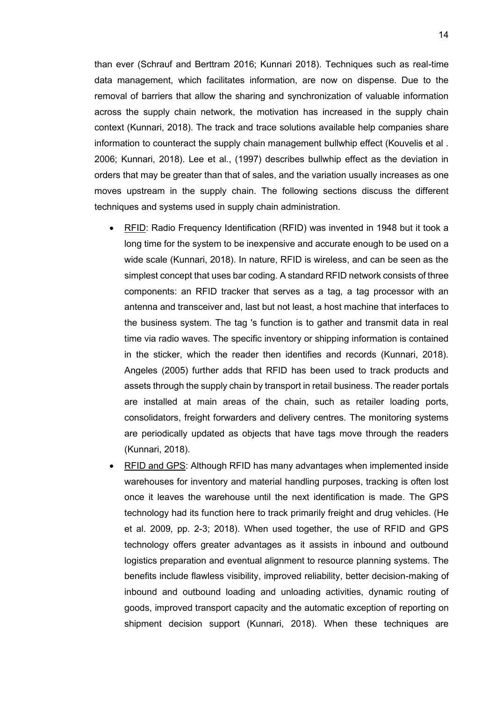than ever (Schrauf and Berttram 2016; Kunnari 2018). Techniques such as real-time data management, which facilitates information, are now on dispense. Due to the removal of barriers that allow the sharing and synchronization of valuable information across the supply chain network, the motivation has increased in the supply chain context (Kunnari, 2018). The track and trace solutions available help companies share information to counteract the supply chain management bullwhip effect (Kouvelis et al . 2006; Kunnari, 2018). Lee et al., (1997) describes bullwhip effect as the deviation in orders that may be greater than that of sales, and the variation usually increases as one moves upstream in the supply chain. The following sections discuss the different techniques and systems used in supply chain administration.

- RFID: Radio Frequency Identification (RFID) was invented in 1948 but it took a long time for the system to be inexpensive and accurate enough to be used on a wide scale (Kunnari, 2018). In nature, RFID is wireless, and can be seen as the simplest concept that uses bar coding. A standard RFID network consists of three components: an RFID tracker that serves as a tag, a tag processor with an antenna and transceiver and, last but not least, a host machine that interfaces to the business system. The tag 's function is to gather and transmit data in real time via radio waves. The specific inventory or shipping information is contained in the sticker, which the reader then identifies and records (Kunnari, 2018). Angeles (2005) further adds that RFID has been used to track products and assets through the supply chain by transport in retail business. The reader portals are installed at main areas of the chain, such as retailer loading ports, consolidators, freight forwarders and delivery centres. The monitoring systems are periodically updated as objects that have tags move through the readers (Kunnari, 2018).
- RFID and GPS: Although RFID has many advantages when implemented inside warehouses for inventory and material handling purposes, tracking is often lost once it leaves the warehouse until the next identification is made. The GPS technology had its function here to track primarily freight and drug vehicles. (He et al. 2009, pp. 2-3; 2018). When used together, the use of RFID and GPS technology offers greater advantages as it assists in inbound and outbound logistics preparation and eventual alignment to resource planning systems. The benefits include flawless visibility, improved reliability, better decision-making of inbound and outbound loading and unloading activities, dynamic routing of goods, improved transport capacity and the automatic exception of reporting on shipment decision support (Kunnari, 2018). When these techniques are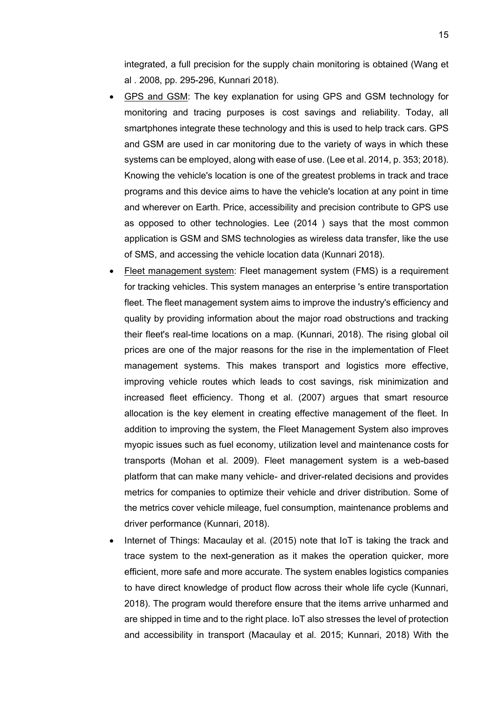integrated, a full precision for the supply chain monitoring is obtained (Wang et al . 2008, pp. 295-296, Kunnari 2018).

- GPS and GSM: The key explanation for using GPS and GSM technology for monitoring and tracing purposes is cost savings and reliability. Today, all smartphones integrate these technology and this is used to help track cars. GPS and GSM are used in car monitoring due to the variety of ways in which these systems can be employed, along with ease of use. (Lee et al. 2014, p. 353; 2018). Knowing the vehicle's location is one of the greatest problems in track and trace programs and this device aims to have the vehicle's location at any point in time and wherever on Earth. Price, accessibility and precision contribute to GPS use as opposed to other technologies. Lee (2014 ) says that the most common application is GSM and SMS technologies as wireless data transfer, like the use of SMS, and accessing the vehicle location data (Kunnari 2018).
- Fleet management system: Fleet management system (FMS) is a requirement for tracking vehicles. This system manages an enterprise 's entire transportation fleet. The fleet management system aims to improve the industry's efficiency and quality by providing information about the major road obstructions and tracking their fleet's real-time locations on a map. (Kunnari, 2018). The rising global oil prices are one of the major reasons for the rise in the implementation of Fleet management systems. This makes transport and logistics more effective, improving vehicle routes which leads to cost savings, risk minimization and increased fleet efficiency. Thong et al. (2007) argues that smart resource allocation is the key element in creating effective management of the fleet. In addition to improving the system, the Fleet Management System also improves myopic issues such as fuel economy, utilization level and maintenance costs for transports (Mohan et al. 2009). Fleet management system is a web-based platform that can make many vehicle- and driver-related decisions and provides metrics for companies to optimize their vehicle and driver distribution. Some of the metrics cover vehicle mileage, fuel consumption, maintenance problems and driver performance (Kunnari, 2018).
- Internet of Things: Macaulay et al. (2015) note that IoT is taking the track and trace system to the next-generation as it makes the operation quicker, more efficient, more safe and more accurate. The system enables logistics companies to have direct knowledge of product flow across their whole life cycle (Kunnari, 2018). The program would therefore ensure that the items arrive unharmed and are shipped in time and to the right place. IoT also stresses the level of protection and accessibility in transport (Macaulay et al. 2015; Kunnari, 2018) With the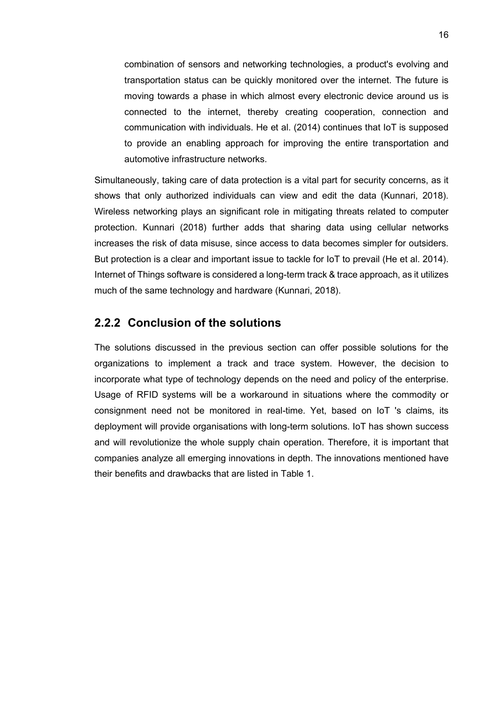combination of sensors and networking technologies, a product's evolving and transportation status can be quickly monitored over the internet. The future is moving towards a phase in which almost every electronic device around us is connected to the internet, thereby creating cooperation, connection and communication with individuals. He et al. (2014) continues that IoT is supposed to provide an enabling approach for improving the entire transportation and automotive infrastructure networks.

Simultaneously, taking care of data protection is a vital part for security concerns, as it shows that only authorized individuals can view and edit the data (Kunnari, 2018). Wireless networking plays an significant role in mitigating threats related to computer protection. Kunnari (2018) further adds that sharing data using cellular networks increases the risk of data misuse, since access to data becomes simpler for outsiders. But protection is a clear and important issue to tackle for IoT to prevail (He et al. 2014). Internet of Things software is considered a long-term track & trace approach, as it utilizes much of the same technology and hardware (Kunnari, 2018).

#### <span id="page-19-0"></span>**2.2.2 Conclusion of the solutions**

The solutions discussed in the previous section can offer possible solutions for the organizations to implement a track and trace system. However, the decision to incorporate what type of technology depends on the need and policy of the enterprise. Usage of RFID systems will be a workaround in situations where the commodity or consignment need not be monitored in real-time. Yet, based on IoT 's claims, its deployment will provide organisations with long-term solutions. IoT has shown success and will revolutionize the whole supply chain operation. Therefore, it is important that companies analyze all emerging innovations in depth. The innovations mentioned have their benefits and drawbacks that are listed in Table 1.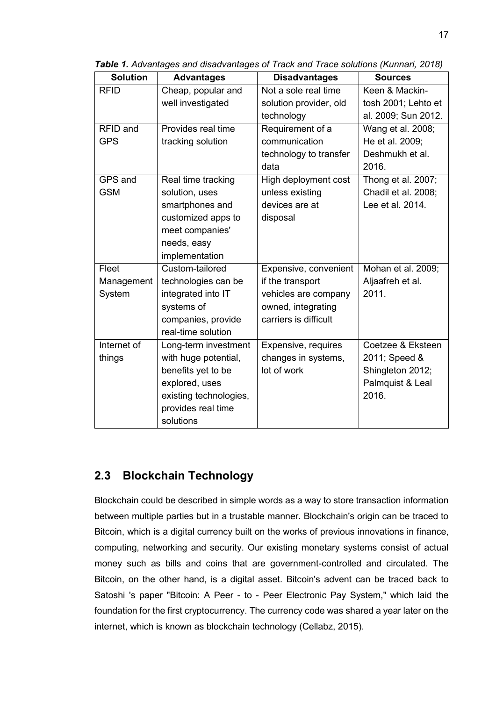| <b>Solution</b> | <b>Advantages</b>      | <b>Disadvantages</b>   | <b>Sources</b>      |
|-----------------|------------------------|------------------------|---------------------|
| <b>RFID</b>     | Cheap, popular and     | Not a sole real time   | Keen & Mackin-      |
|                 | well investigated      | solution provider, old | tosh 2001; Lehto et |
|                 |                        | technology             | al. 2009; Sun 2012. |
| RFID and        | Provides real time     | Requirement of a       | Wang et al. 2008;   |
| <b>GPS</b>      | tracking solution      | communication          | He et al. 2009;     |
|                 |                        | technology to transfer | Deshmukh et al.     |
|                 |                        | data                   | 2016.               |
| GPS and         | Real time tracking     | High deployment cost   | Thong et al. 2007;  |
| <b>GSM</b>      | solution, uses         | unless existing        | Chadil et al. 2008; |
|                 | smartphones and        | devices are at         | Lee et al. 2014.    |
|                 | customized apps to     | disposal               |                     |
|                 | meet companies'        |                        |                     |
|                 | needs, easy            |                        |                     |
|                 | implementation         |                        |                     |
| Fleet           | Custom-tailored        | Expensive, convenient  | Mohan et al. 2009;  |
| Management      | technologies can be    | if the transport       | Aljaafreh et al.    |
| System          | integrated into IT     | vehicles are company   | 2011.               |
|                 | systems of             | owned, integrating     |                     |
|                 | companies, provide     | carriers is difficult  |                     |
|                 | real-time solution     |                        |                     |
| Internet of     | Long-term investment   | Expensive, requires    | Coetzee & Eksteen   |
| things          | with huge potential,   | changes in systems,    | 2011; Speed &       |
|                 | benefits yet to be     | lot of work            | Shingleton 2012;    |
|                 | explored, uses         |                        | Palmquist & Leal    |
|                 | existing technologies, |                        | 2016.               |
|                 | provides real time     |                        |                     |
|                 | solutions              |                        |                     |

*Table 1. Advantages and disadvantages of Track and Trace solutions (Kunnari, 2018)*

### <span id="page-20-0"></span>**2.3 Blockchain Technology**

Blockchain could be described in simple words as a way to store transaction information between multiple parties but in a trustable manner. Blockchain's origin can be traced to Bitcoin, which is a digital currency built on the works of previous innovations in finance, computing, networking and security. Our existing monetary systems consist of actual money such as bills and coins that are government-controlled and circulated. The Bitcoin, on the other hand, is a digital asset. Bitcoin's advent can be traced back to Satoshi 's paper "Bitcoin: A Peer - to - Peer Electronic Pay System," which laid the foundation for the first cryptocurrency. The currency code was shared a year later on the internet, which is known as blockchain technology (Cellabz, 2015).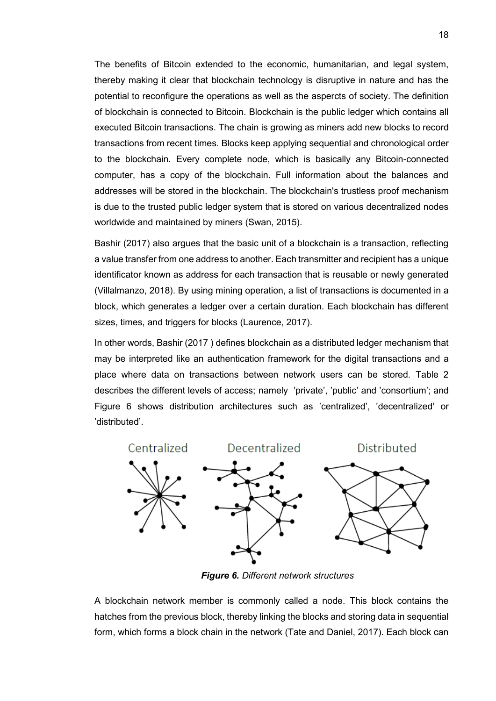The benefits of Bitcoin extended to the economic, humanitarian, and legal system, thereby making it clear that blockchain technology is disruptive in nature and has the potential to reconfigure the operations as well as the aspercts of society. The definition of blockchain is connected to Bitcoin. Blockchain is the public ledger which contains all executed Bitcoin transactions. The chain is growing as miners add new blocks to record transactions from recent times. Blocks keep applying sequential and chronological order to the blockchain. Every complete node, which is basically any Bitcoin-connected computer, has a copy of the blockchain. Full information about the balances and addresses will be stored in the blockchain. The blockchain's trustless proof mechanism is due to the trusted public ledger system that is stored on various decentralized nodes worldwide and maintained by miners (Swan, 2015).

Bashir (2017) also argues that the basic unit of a blockchain is a transaction, reflecting a value transfer from one address to another. Each transmitter and recipient has a unique identificator known as address for each transaction that is reusable or newly generated (Villalmanzo, 2018). By using mining operation, a list of transactions is documented in a block, which generates a ledger over a certain duration. Each blockchain has different sizes, times, and triggers for blocks (Laurence, 2017).

In other words, Bashir (2017 ) defines blockchain as a distributed ledger mechanism that may be interpreted like an authentication framework for the digital transactions and a place where data on transactions between network users can be stored. Table 2 describes the different levels of access; namely 'private', 'public' and 'consortium'; and Figure 6 shows distribution architectures such as 'centralized', 'decentralized' or 'distributed'.



*Figure 6. Different network structures*

A blockchain network member is commonly called a node. This block contains the hatches from the previous block, thereby linking the blocks and storing data in sequential form, which forms a block chain in the network (Tate and Daniel, 2017). Each block can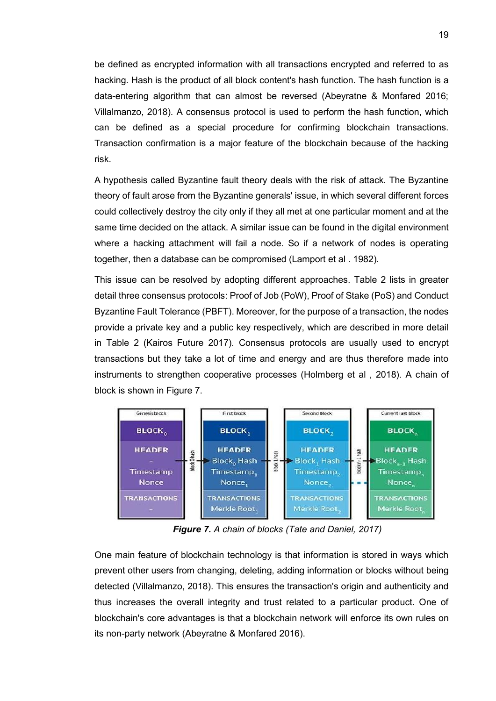be defined as encrypted information with all transactions encrypted and referred to as hacking. Hash is the product of all block content's hash function. The hash function is a data-entering algorithm that can almost be reversed (Abeyratne & Monfared 2016; Villalmanzo, 2018). A consensus protocol is used to perform the hash function, which can be defined as a special procedure for confirming blockchain transactions. Transaction confirmation is a major feature of the blockchain because of the hacking risk.

A hypothesis called Byzantine fault theory deals with the risk of attack. The Byzantine theory of fault arose from the Byzantine generals' issue, in which several different forces could collectively destroy the city only if they all met at one particular moment and at the same time decided on the attack. A similar issue can be found in the digital environment where a hacking attachment will fail a node. So if a network of nodes is operating together, then a database can be compromised (Lamport et al . 1982).

This issue can be resolved by adopting different approaches. Table 2 lists in greater detail three consensus protocols: Proof of Job (PoW), Proof of Stake (PoS) and Conduct Byzantine Fault Tolerance (PBFT). Moreover, for the purpose of a transaction, the nodes provide a private key and a public key respectively, which are described in more detail in Table 2 (Kairos Future 2017). Consensus protocols are usually used to encrypt transactions but they take a lot of time and energy and are thus therefore made into instruments to strengthen cooperative processes (Holmberg et al , 2018). A chain of block is shown in Figure 7.



*Figure 7. A chain of blocks (Tate and Daniel, 2017)*

One main feature of blockchain technology is that information is stored in ways which prevent other users from changing, deleting, adding information or blocks without being detected (Villalmanzo, 2018). This ensures the transaction's origin and authenticity and thus increases the overall integrity and trust related to a particular product. One of blockchain's core advantages is that a blockchain network will enforce its own rules on its non-party network (Abeyratne & Monfared 2016).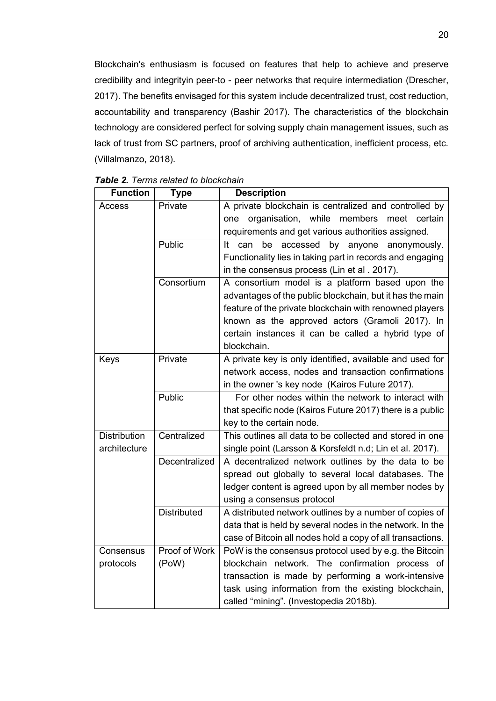Blockchain's enthusiasm is focused on features that help to achieve and preserve credibility and integrityin peer-to - peer networks that require intermediation (Drescher, 2017). The benefits envisaged for this system include decentralized trust, cost reduction, accountability and transparency (Bashir 2017). The characteristics of the blockchain technology are considered perfect for solving supply chain management issues, such as lack of trust from SC partners, proof of archiving authentication, inefficient process, etc. (Villalmanzo, 2018).

| <b>Function</b>                    | <b>Type</b>        | <b>Description</b>                                          |
|------------------------------------|--------------------|-------------------------------------------------------------|
| Access                             | Private            | A private blockchain is centralized and controlled by       |
|                                    |                    | organisation, while members<br>meet certain<br>one          |
|                                    |                    | requirements and get various authorities assigned.          |
|                                    | Public             | can<br>be<br>accessed<br>by<br>anyone<br>It<br>anonymously. |
|                                    |                    | Functionality lies in taking part in records and engaging   |
|                                    |                    | in the consensus process (Lin et al. 2017).                 |
|                                    | Consortium         | A consortium model is a platform based upon the             |
|                                    |                    | advantages of the public blockchain, but it has the main    |
|                                    |                    | feature of the private blockchain with renowned players     |
|                                    |                    | known as the approved actors (Gramoli 2017). In             |
|                                    |                    | certain instances it can be called a hybrid type of         |
|                                    |                    | blockchain.                                                 |
| Keys                               | Private            | A private key is only identified, available and used for    |
|                                    |                    | network access, nodes and transaction confirmations         |
|                                    |                    | in the owner 's key node (Kairos Future 2017).              |
|                                    | Public             | For other nodes within the network to interact with         |
|                                    |                    | that specific node (Kairos Future 2017) there is a public   |
|                                    |                    | key to the certain node.                                    |
| <b>Distribution</b><br>Centralized |                    | This outlines all data to be collected and stored in one    |
| architecture                       |                    | single point (Larsson & Korsfeldt n.d; Lin et al. 2017).    |
|                                    | Decentralized      | A decentralized network outlines by the data to be          |
|                                    |                    | spread out globally to several local databases. The         |
|                                    |                    | ledger content is agreed upon by all member nodes by        |
|                                    |                    | using a consensus protocol                                  |
|                                    | <b>Distributed</b> | A distributed network outlines by a number of copies of     |
|                                    |                    | data that is held by several nodes in the network. In the   |
|                                    |                    | case of Bitcoin all nodes hold a copy of all transactions.  |
| Consensus                          | Proof of Work      | PoW is the consensus protocol used by e.g. the Bitcoin      |
| protocols                          | (PoW)              | blockchain network. The confirmation process of             |
|                                    |                    | transaction is made by performing a work-intensive          |
|                                    |                    | task using information from the existing blockchain,        |
|                                    |                    | called "mining". (Investopedia 2018b).                      |

#### *Table 2. Terms related to blockchain*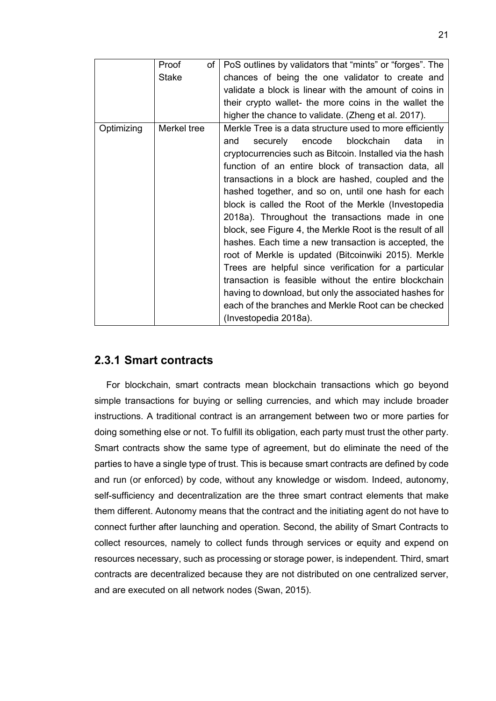|            | Proof<br>of  | PoS outlines by validators that "mints" or "forges". The                                                                                                                                                                                                                                                                                                                                                                                                                                                                                                                                                                                                                                                                                                                                                                                                                                              |
|------------|--------------|-------------------------------------------------------------------------------------------------------------------------------------------------------------------------------------------------------------------------------------------------------------------------------------------------------------------------------------------------------------------------------------------------------------------------------------------------------------------------------------------------------------------------------------------------------------------------------------------------------------------------------------------------------------------------------------------------------------------------------------------------------------------------------------------------------------------------------------------------------------------------------------------------------|
|            | <b>Stake</b> | chances of being the one validator to create and                                                                                                                                                                                                                                                                                                                                                                                                                                                                                                                                                                                                                                                                                                                                                                                                                                                      |
|            |              | validate a block is linear with the amount of coins in                                                                                                                                                                                                                                                                                                                                                                                                                                                                                                                                                                                                                                                                                                                                                                                                                                                |
|            |              | their crypto wallet- the more coins in the wallet the                                                                                                                                                                                                                                                                                                                                                                                                                                                                                                                                                                                                                                                                                                                                                                                                                                                 |
|            |              | higher the chance to validate. (Zheng et al. 2017).                                                                                                                                                                                                                                                                                                                                                                                                                                                                                                                                                                                                                                                                                                                                                                                                                                                   |
| Optimizing | Merkel tree  | Merkle Tree is a data structure used to more efficiently<br>encode blockchain<br>securely<br>data<br>and<br>in.<br>cryptocurrencies such as Bitcoin. Installed via the hash<br>function of an entire block of transaction data, all<br>transactions in a block are hashed, coupled and the<br>hashed together, and so on, until one hash for each<br>block is called the Root of the Merkle (Investopedia<br>2018a). Throughout the transactions made in one<br>block, see Figure 4, the Merkle Root is the result of all<br>hashes. Each time a new transaction is accepted, the<br>root of Merkle is updated (Bitcoinwiki 2015). Merkle<br>Trees are helpful since verification for a particular<br>transaction is feasible without the entire blockchain<br>having to download, but only the associated hashes for<br>each of the branches and Merkle Root can be checked<br>(Investopedia 2018a). |

#### <span id="page-24-0"></span>**2.3.1 Smart contracts**

For blockchain, smart contracts mean blockchain transactions which go beyond simple transactions for buying or selling currencies, and which may include broader instructions. A traditional contract is an arrangement between two or more parties for doing something else or not. To fulfill its obligation, each party must trust the other party. Smart contracts show the same type of agreement, but do eliminate the need of the parties to have a single type of trust. This is because smart contracts are defined by code and run (or enforced) by code, without any knowledge or wisdom. Indeed, autonomy, self-sufficiency and decentralization are the three smart contract elements that make them different. Autonomy means that the contract and the initiating agent do not have to connect further after launching and operation. Second, the ability of Smart Contracts to collect resources, namely to collect funds through services or equity and expend on resources necessary, such as processing or storage power, is independent. Third, smart contracts are decentralized because they are not distributed on one centralized server, and are executed on all network nodes (Swan, 2015).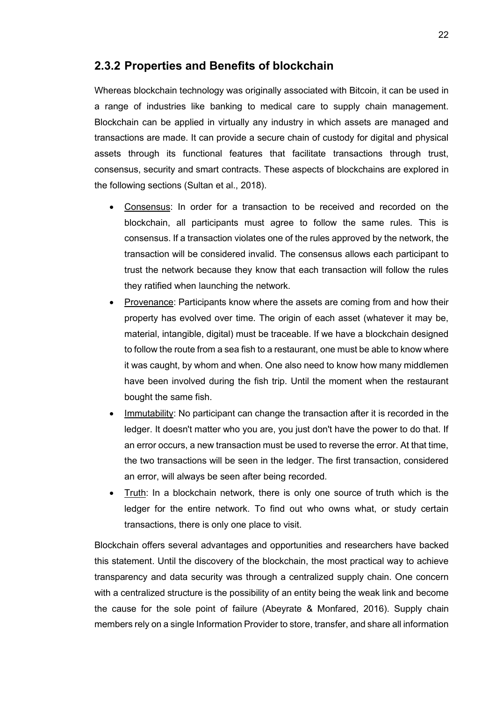#### <span id="page-25-0"></span>**2.3.2 Properties and Benefits of blockchain**

Whereas blockchain technology was originally associated with Bitcoin, it can be used in a range of industries like banking to medical care to supply chain management. Blockchain can be applied in virtually any industry in which assets are managed and transactions are made. It can provide a secure chain of custody for digital and physical assets through its functional features that facilitate transactions through trust, consensus, security and smart contracts. These aspects of blockchains are explored in the following sections (Sultan et al., 2018).

- Consensus: In order for a transaction to be received and recorded on the blockchain, all participants must agree to follow the same rules. This is consensus. If a transaction violates one of the rules approved by the network, the transaction will be considered invalid. The consensus allows each participant to trust the network because they know that each transaction will follow the rules they ratified when launching the network.
- Provenance: Participants know where the assets are coming from and how their property has evolved over time. The origin of each asset (whatever it may be, material, intangible, digital) must be traceable. If we have a blockchain designed to follow the route from a sea fish to a restaurant, one must be able to know where it was caught, by whom and when. One also need to know how many middlemen have been involved during the fish trip. Until the moment when the restaurant bought the same fish.
- Immutability: No participant can change the transaction after it is recorded in the ledger. It doesn't matter who you are, you just don't have the power to do that. If an error occurs, a new transaction must be used to reverse the error. At that time, the two transactions will be seen in the ledger. The first transaction, considered an error, will always be seen after being recorded.
- Truth: In a blockchain network, there is only one source of truth which is the ledger for the entire network. To find out who owns what, or study certain transactions, there is only one place to visit.

Blockchain offers several advantages and opportunities and researchers have backed this statement. Until the discovery of the blockchain, the most practical way to achieve transparency and data security was through a centralized supply chain. One concern with a centralized structure is the possibility of an entity being the weak link and become the cause for the sole point of failure (Abeyrate & Monfared, 2016). Supply chain members rely on a single Information Provider to store, transfer, and share all information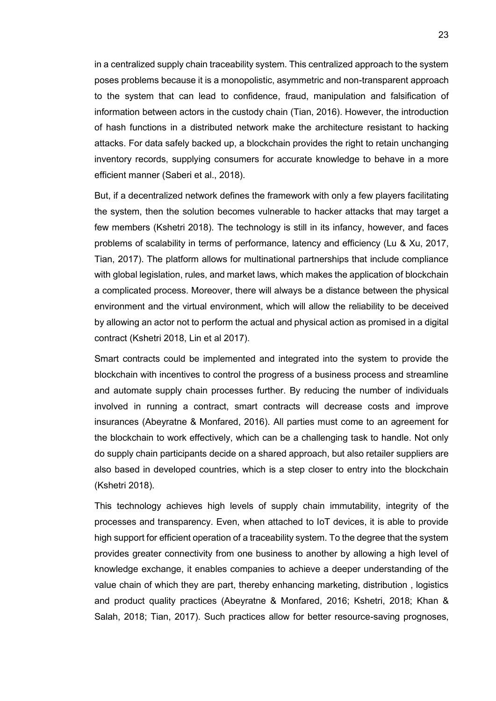in a centralized supply chain traceability system. This centralized approach to the system poses problems because it is a monopolistic, asymmetric and non-transparent approach to the system that can lead to confidence, fraud, manipulation and falsification of information between actors in the custody chain (Tian, 2016). However, the introduction of hash functions in a distributed network make the architecture resistant to hacking attacks. For data safely backed up, a blockchain provides the right to retain unchanging inventory records, supplying consumers for accurate knowledge to behave in a more efficient manner (Saberi et al., 2018).

But, if a decentralized network defines the framework with only a few players facilitating the system, then the solution becomes vulnerable to hacker attacks that may target a few members (Kshetri 2018). The technology is still in its infancy, however, and faces problems of scalability in terms of performance, latency and efficiency (Lu & Xu, 2017, Tian, 2017). The platform allows for multinational partnerships that include compliance with global legislation, rules, and market laws, which makes the application of blockchain a complicated process. Moreover, there will always be a distance between the physical environment and the virtual environment, which will allow the reliability to be deceived by allowing an actor not to perform the actual and physical action as promised in a digital contract (Kshetri 2018, Lin et al 2017).

Smart contracts could be implemented and integrated into the system to provide the blockchain with incentives to control the progress of a business process and streamline and automate supply chain processes further. By reducing the number of individuals involved in running a contract, smart contracts will decrease costs and improve insurances (Abeyratne & Monfared, 2016). All parties must come to an agreement for the blockchain to work effectively, which can be a challenging task to handle. Not only do supply chain participants decide on a shared approach, but also retailer suppliers are also based in developed countries, which is a step closer to entry into the blockchain (Kshetri 2018).

This technology achieves high levels of supply chain immutability, integrity of the processes and transparency. Even, when attached to IoT devices, it is able to provide high support for efficient operation of a traceability system. To the degree that the system provides greater connectivity from one business to another by allowing a high level of knowledge exchange, it enables companies to achieve a deeper understanding of the value chain of which they are part, thereby enhancing marketing, distribution , logistics and product quality practices (Abeyratne & Monfared, 2016; Kshetri, 2018; Khan & Salah, 2018; Tian, 2017). Such practices allow for better resource-saving prognoses,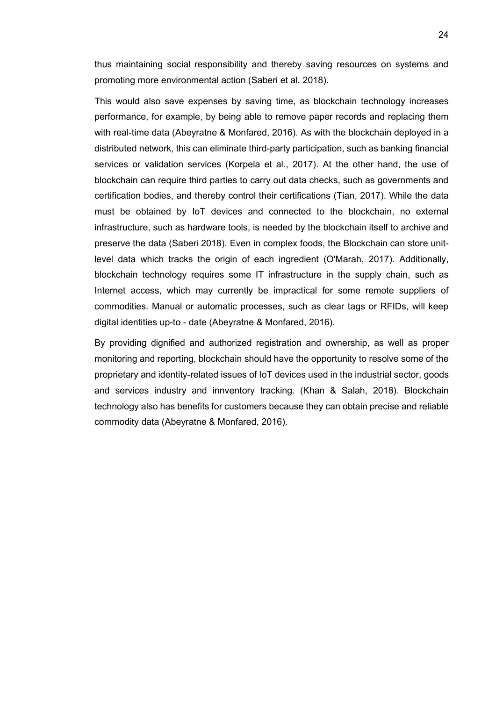thus maintaining social responsibility and thereby saving resources on systems and promoting more environmental action (Saberi et al. 2018).

This would also save expenses by saving time, as blockchain technology increases performance, for example, by being able to remove paper records and replacing them with real-time data (Abeyratne & Monfared, 2016). As with the blockchain deployed in a distributed network, this can eliminate third-party participation, such as banking financial services or validation services (Korpela et al., 2017). At the other hand, the use of blockchain can require third parties to carry out data checks, such as governments and certification bodies, and thereby control their certifications (Tian, 2017). While the data must be obtained by IoT devices and connected to the blockchain, no external infrastructure, such as hardware tools, is needed by the blockchain itself to archive and preserve the data (Saberi 2018). Even in complex foods, the Blockchain can store unitlevel data which tracks the origin of each ingredient (O'Marah, 2017). Additionally, blockchain technology requires some IT infrastructure in the supply chain, such as Internet access, which may currently be impractical for some remote suppliers of commodities. Manual or automatic processes, such as clear tags or RFIDs, will keep digital identities up-to - date (Abeyratne & Monfared, 2016).

By providing dignified and authorized registration and ownership, as well as proper monitoring and reporting, blockchain should have the opportunity to resolve some of the proprietary and identity-related issues of IoT devices used in the industrial sector, goods and services industry and innventory tracking. (Khan & Salah, 2018). Blockchain technology also has benefits for customers because they can obtain precise and reliable commodity data (Abeyratne & Monfared, 2016).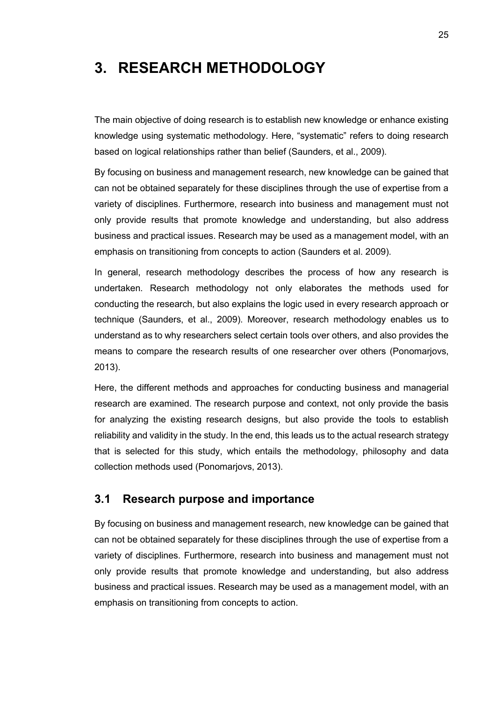# <span id="page-28-0"></span>**3. RESEARCH METHODOLOGY**

The main objective of doing research is to establish new knowledge or enhance existing knowledge using systematic methodology. Here, "systematic" refers to doing research based on logical relationships rather than belief (Saunders, et al., 2009).

By focusing on business and management research, new knowledge can be gained that can not be obtained separately for these disciplines through the use of expertise from a variety of disciplines. Furthermore, research into business and management must not only provide results that promote knowledge and understanding, but also address business and practical issues. Research may be used as a management model, with an emphasis on transitioning from concepts to action (Saunders et al. 2009).

In general, research methodology describes the process of how any research is undertaken. Research methodology not only elaborates the methods used for conducting the research, but also explains the logic used in every research approach or technique (Saunders, et al., 2009). Moreover, research methodology enables us to understand as to why researchers select certain tools over others, and also provides the means to compare the research results of one researcher over others (Ponomarjovs, 2013).

Here, the different methods and approaches for conducting business and managerial research are examined. The research purpose and context, not only provide the basis for analyzing the existing research designs, but also provide the tools to establish reliability and validity in the study. In the end, this leads us to the actual research strategy that is selected for this study, which entails the methodology, philosophy and data collection methods used (Ponomarjovs, 2013).

#### <span id="page-28-1"></span>**3.1 Research purpose and importance**

By focusing on business and management research, new knowledge can be gained that can not be obtained separately for these disciplines through the use of expertise from a variety of disciplines. Furthermore, research into business and management must not only provide results that promote knowledge and understanding, but also address business and practical issues. Research may be used as a management model, with an emphasis on transitioning from concepts to action.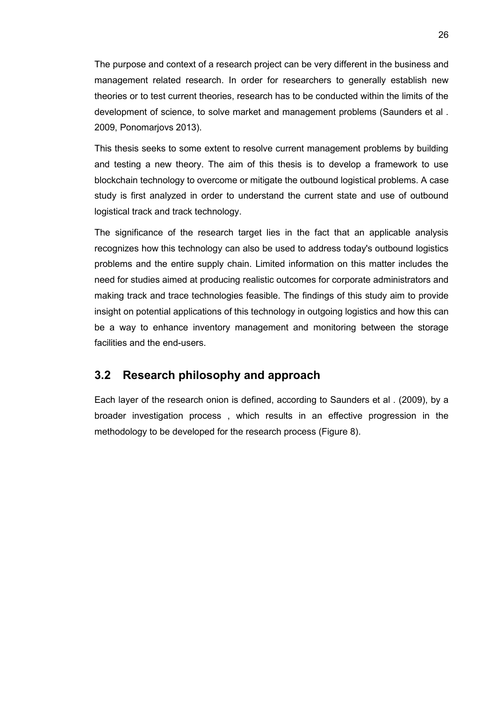The purpose and context of a research project can be very different in the business and management related research. In order for researchers to generally establish new theories or to test current theories, research has to be conducted within the limits of the development of science, to solve market and management problems (Saunders et al . 2009, Ponomarjovs 2013).

This thesis seeks to some extent to resolve current management problems by building and testing a new theory. The aim of this thesis is to develop a framework to use blockchain technology to overcome or mitigate the outbound logistical problems. A case study is first analyzed in order to understand the current state and use of outbound logistical track and track technology.

The significance of the research target lies in the fact that an applicable analysis recognizes how this technology can also be used to address today's outbound logistics problems and the entire supply chain. Limited information on this matter includes the need for studies aimed at producing realistic outcomes for corporate administrators and making track and trace technologies feasible. The findings of this study aim to provide insight on potential applications of this technology in outgoing logistics and how this can be a way to enhance inventory management and monitoring between the storage facilities and the end-users.

### <span id="page-29-0"></span>**3.2 Research philosophy and approach**

Each layer of the research onion is defined, according to Saunders et al . (2009), by a broader investigation process , which results in an effective progression in the methodology to be developed for the research process (Figure 8).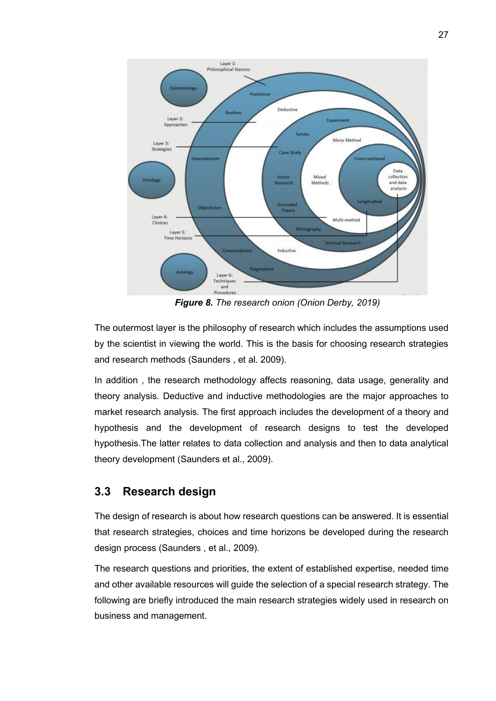

*Figure 8. The research onion (Onion Derby, 2019)*

The outermost layer is the philosophy of research which includes the assumptions used by the scientist in viewing the world. This is the basis for choosing research strategies and research methods (Saunders , et al. 2009).

In addition , the research methodology affects reasoning, data usage, generality and theory analysis. Deductive and inductive methodologies are the major approaches to market research analysis. The first approach includes the development of a theory and hypothesis and the development of research designs to test the developed hypothesis.The latter relates to data collection and analysis and then to data analytical theory development (Saunders et al., 2009).

### <span id="page-30-0"></span>**3.3 Research design**

The design of research is about how research questions can be answered. It is essential that research strategies, choices and time horizons be developed during the research design process (Saunders , et al., 2009).

The research questions and priorities, the extent of established expertise, needed time and other available resources will guide the selection of a special research strategy. The following are briefly introduced the main research strategies widely used in research on business and management.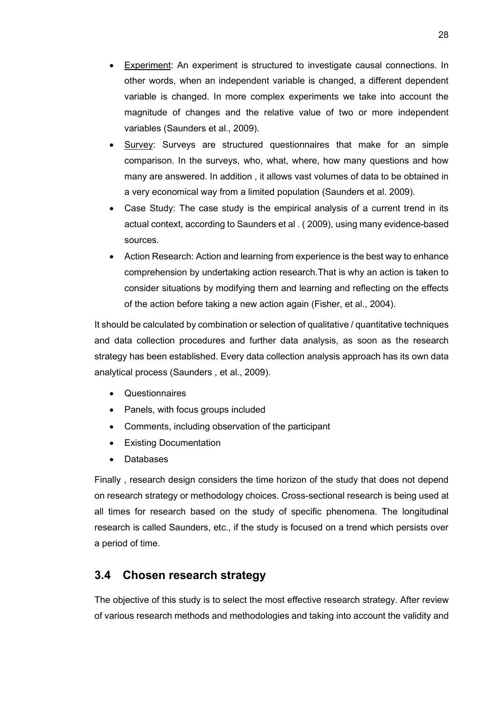- Experiment: An experiment is structured to investigate causal connections. In other words, when an independent variable is changed, a different dependent variable is changed. In more complex experiments we take into account the magnitude of changes and the relative value of two or more independent variables (Saunders et al., 2009).
- Survey: Surveys are structured questionnaires that make for an simple comparison. In the surveys, who, what, where, how many questions and how many are answered. In addition , it allows vast volumes of data to be obtained in a very economical way from a limited population (Saunders et al. 2009).
- Case Study: The case study is the empirical analysis of a current trend in its actual context, according to Saunders et al . ( 2009), using many evidence-based sources.
- Action Research: Action and learning from experience is the best way to enhance comprehension by undertaking action research.That is why an action is taken to consider situations by modifying them and learning and reflecting on the effects of the action before taking a new action again (Fisher, et al., 2004).

It should be calculated by combination or selection of qualitative / quantitative techniques and data collection procedures and further data analysis, as soon as the research strategy has been established. Every data collection analysis approach has its own data analytical process (Saunders , et al., 2009).

- Questionnaires
- Panels, with focus groups included
- Comments, including observation of the participant
- Existing Documentation
- Databases

Finally , research design considers the time horizon of the study that does not depend on research strategy or methodology choices. Cross-sectional research is being used at all times for research based on the study of specific phenomena. The longitudinal research is called Saunders, etc., if the study is focused on a trend which persists over a period of time.

### <span id="page-31-0"></span>**3.4 Chosen research strategy**

The objective of this study is to select the most effective research strategy. After review of various research methods and methodologies and taking into account the validity and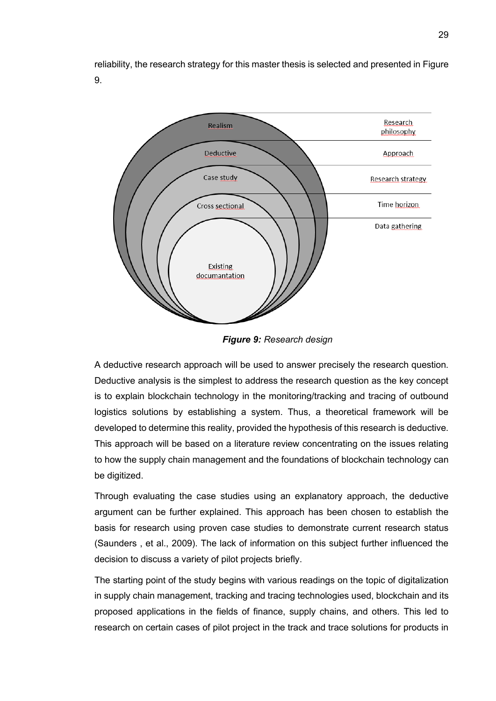reliability, the research strategy for this master thesis is selected and presented in Figure 9.



*Figure 9: Research design*

A deductive research approach will be used to answer precisely the research question. Deductive analysis is the simplest to address the research question as the key concept is to explain blockchain technology in the monitoring/tracking and tracing of outbound logistics solutions by establishing a system. Thus, a theoretical framework will be developed to determine this reality, provided the hypothesis of this research is deductive. This approach will be based on a literature review concentrating on the issues relating to how the supply chain management and the foundations of blockchain technology can be digitized.

Through evaluating the case studies using an explanatory approach, the deductive argument can be further explained. This approach has been chosen to establish the basis for research using proven case studies to demonstrate current research status (Saunders , et al., 2009). The lack of information on this subject further influenced the decision to discuss a variety of pilot projects briefly.

The starting point of the study begins with various readings on the topic of digitalization in supply chain management, tracking and tracing technologies used, blockchain and its proposed applications in the fields of finance, supply chains, and others. This led to research on certain cases of pilot project in the track and trace solutions for products in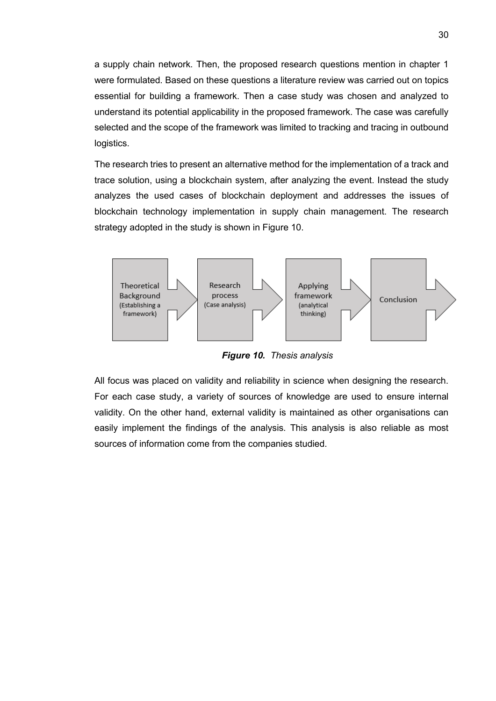a supply chain network. Then, the proposed research questions mention in chapter 1 were formulated. Based on these questions a literature review was carried out on topics essential for building a framework. Then a case study was chosen and analyzed to understand its potential applicability in the proposed framework. The case was carefully selected and the scope of the framework was limited to tracking and tracing in outbound logistics.

The research tries to present an alternative method for the implementation of a track and trace solution, using a blockchain system, after analyzing the event. Instead the study analyzes the used cases of blockchain deployment and addresses the issues of blockchain technology implementation in supply chain management. The research strategy adopted in the study is shown in Figure 10.



*Figure 10. Thesis analysis*

All focus was placed on validity and reliability in science when designing the research. For each case study, a variety of sources of knowledge are used to ensure internal validity. On the other hand, external validity is maintained as other organisations can easily implement the findings of the analysis. This analysis is also reliable as most sources of information come from the companies studied.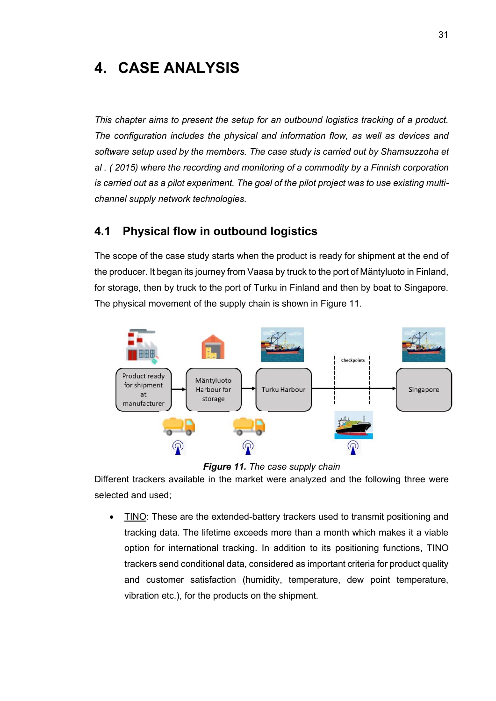# <span id="page-34-0"></span>**4. CASE ANALYSIS**

*This chapter aims to present the setup for an outbound logistics tracking of a product. The configuration includes the physical and information flow, as well as devices and software setup used by the members. The case study is carried out by Shamsuzzoha et al . ( 2015) where the recording and monitoring of a commodity by a Finnish corporation is carried out as a pilot experiment. The goal of the pilot project was to use existing multichannel supply network technologies.*

### <span id="page-34-1"></span>**4.1 Physical flow in outbound logistics**

The scope of the case study starts when the product is ready for shipment at the end of the producer. It began its journey from Vaasa by truck to the port of Mäntyluoto in Finland, for storage, then by truck to the port of Turku in Finland and then by boat to Singapore. The physical movement of the supply chain is shown in Figure 11.



*Figure 11. The case supply chain*

Different trackers available in the market were analyzed and the following three were selected and used;

• TINO: These are the extended-battery trackers used to transmit positioning and tracking data. The lifetime exceeds more than a month which makes it a viable option for international tracking. In addition to its positioning functions, TINO trackers send conditional data, considered as important criteria for product quality and customer satisfaction (humidity, temperature, dew point temperature, vibration etc.), for the products on the shipment.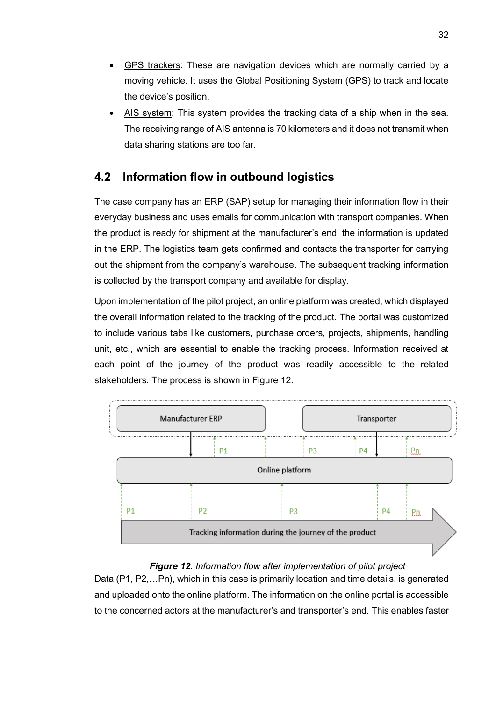- GPS trackers: These are navigation devices which are normally carried by a moving vehicle. It uses the Global Positioning System (GPS) to track and locate the device's position.
- AIS system: This system provides the tracking data of a ship when in the sea. The receiving range of AIS antenna is 70 kilometers and it does not transmit when data sharing stations are too far.

### <span id="page-35-0"></span>**4.2 Information flow in outbound logistics**

The case company has an ERP (SAP) setup for managing their information flow in their everyday business and uses emails for communication with transport companies. When the product is ready for shipment at the manufacturer's end, the information is updated in the ERP. The logistics team gets confirmed and contacts the transporter for carrying out the shipment from the company's warehouse. The subsequent tracking information is collected by the transport company and available for display.

Upon implementation of the pilot project, an online platform was created, which displayed the overall information related to the tracking of the product. The portal was customized to include various tabs like customers, purchase orders, projects, shipments, handling unit, etc., which are essential to enable the tracking process. Information received at each point of the journey of the product was readily accessible to the related stakeholders. The process is shown in Figure 12.



#### *Figure 12. Information flow after implementation of pilot project*

Data (P1, P2,…Pn), which in this case is primarily location and time details, is generated and uploaded onto the online platform. The information on the online portal is accessible to the concerned actors at the manufacturer's and transporter's end. This enables faster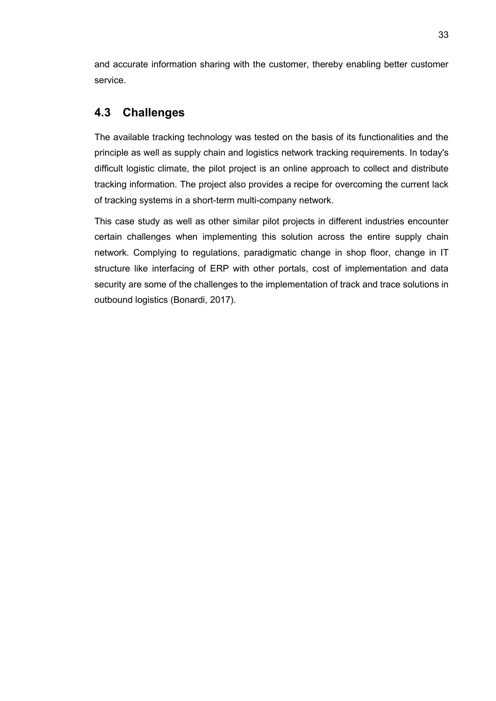and accurate information sharing with the customer, thereby enabling better customer service.

### <span id="page-36-0"></span>**4.3 Challenges**

The available tracking technology was tested on the basis of its functionalities and the principle as well as supply chain and logistics network tracking requirements. In today's difficult logistic climate, the pilot project is an online approach to collect and distribute tracking information. The project also provides a recipe for overcoming the current lack of tracking systems in a short-term multi-company network.

This case study as well as other similar pilot projects in different industries encounter certain challenges when implementing this solution across the entire supply chain network. Complying to regulations, paradigmatic change in shop floor, change in IT structure like interfacing of ERP with other portals, cost of implementation and data security are some of the challenges to the implementation of track and trace solutions in outbound logistics (Bonardi, 2017).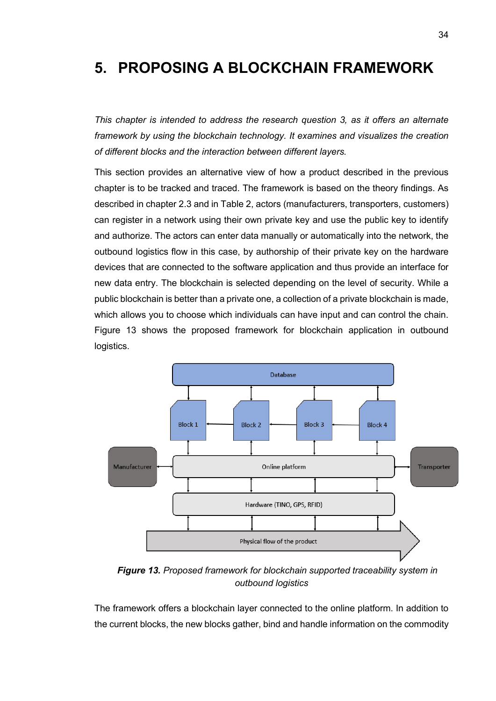# <span id="page-37-0"></span>**5. PROPOSING A BLOCKCHAIN FRAMEWORK**

*This chapter is intended to address the research question 3, as it offers an alternate framework by using the blockchain technology. It examines and visualizes the creation of different blocks and the interaction between different layers.* 

This section provides an alternative view of how a product described in the previous chapter is to be tracked and traced. The framework is based on the theory findings. As described in chapter 2.3 and in Table 2, actors (manufacturers, transporters, customers) can register in a network using their own private key and use the public key to identify and authorize. The actors can enter data manually or automatically into the network, the outbound logistics flow in this case, by authorship of their private key on the hardware devices that are connected to the software application and thus provide an interface for new data entry. The blockchain is selected depending on the level of security. While a public blockchain is better than a private one, a collection of a private blockchain is made, which allows you to choose which individuals can have input and can control the chain. Figure 13 shows the proposed framework for blockchain application in outbound logistics.



*Figure 13. Proposed framework for blockchain supported traceability system in outbound logistics*

The framework offers a blockchain layer connected to the online platform. In addition to the current blocks, the new blocks gather, bind and handle information on the commodity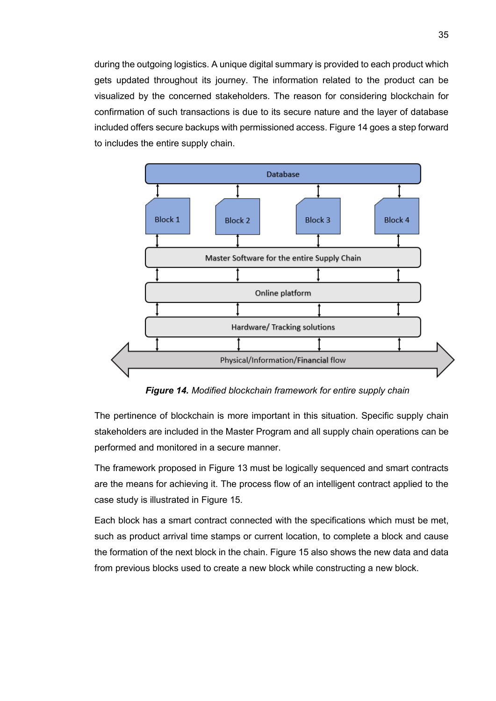during the outgoing logistics. A unique digital summary is provided to each product which gets updated throughout its journey. The information related to the product can be visualized by the concerned stakeholders. The reason for considering blockchain for confirmation of such transactions is due to its secure nature and the layer of database included offers secure backups with permissioned access. Figure 14 goes a step forward to includes the entire supply chain.



*Figure 14. Modified blockchain framework for entire supply chain*

The pertinence of blockchain is more important in this situation. Specific supply chain stakeholders are included in the Master Program and all supply chain operations can be performed and monitored in a secure manner.

The framework proposed in Figure 13 must be logically sequenced and smart contracts are the means for achieving it. The process flow of an intelligent contract applied to the case study is illustrated in Figure 15.

Each block has a smart contract connected with the specifications which must be met, such as product arrival time stamps or current location, to complete a block and cause the formation of the next block in the chain. Figure 15 also shows the new data and data from previous blocks used to create a new block while constructing a new block.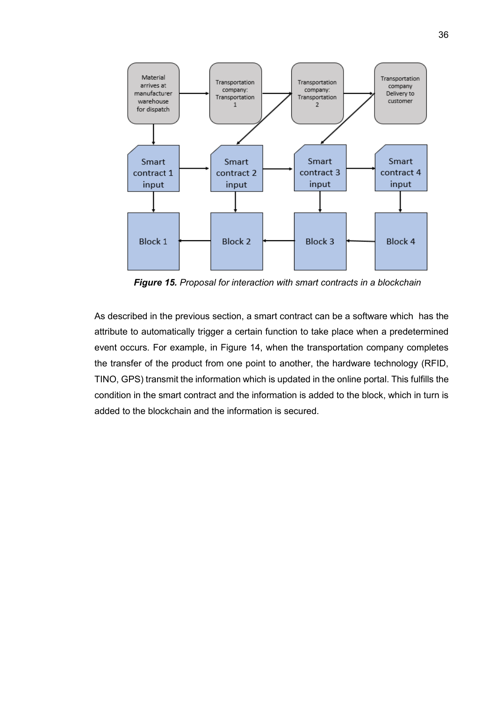

*Figure 15. Proposal for interaction with smart contracts in a blockchain*

As described in the previous section, a smart contract can be a software which has the attribute to automatically trigger a certain function to take place when a predetermined event occurs. For example, in Figure 14, when the transportation company completes the transfer of the product from one point to another, the hardware technology (RFID, TINO, GPS) transmit the information which is updated in the online portal. This fulfills the condition in the smart contract and the information is added to the block, which in turn is added to the blockchain and the information is secured.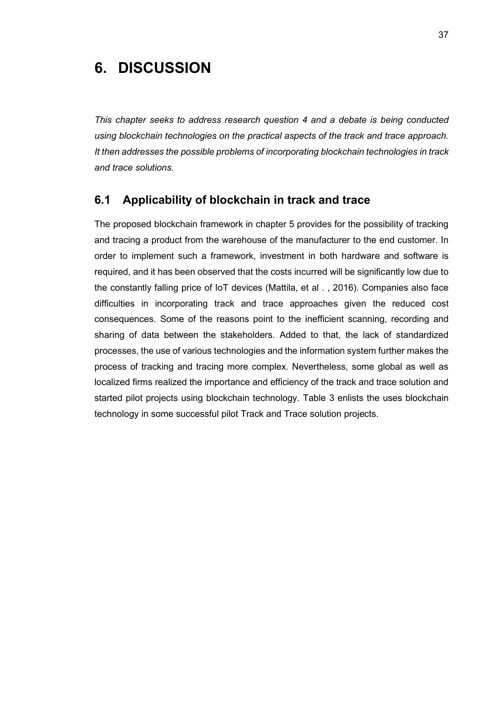# <span id="page-40-0"></span>**6. DISCUSSION**

*This chapter seeks to address research question 4 and a debate is being conducted using blockchain technologies on the practical aspects of the track and trace approach. It then addresses the possible problems of incorporating blockchain technologies in track and trace solutions.*

### <span id="page-40-1"></span>**6.1 Applicability of blockchain in track and trace**

The proposed blockchain framework in chapter 5 provides for the possibility of tracking and tracing a product from the warehouse of the manufacturer to the end customer. In order to implement such a framework, investment in both hardware and software is required, and it has been observed that the costs incurred will be significantly low due to the constantly falling price of IoT devices (Mattila, et al . , 2016). Companies also face difficulties in incorporating track and trace approaches given the reduced cost consequences. Some of the reasons point to the inefficient scanning, recording and sharing of data between the stakeholders. Added to that, the lack of standardized processes, the use of various technologies and the information system further makes the process of tracking and tracing more complex. Nevertheless, some global as well as localized firms realized the importance and efficiency of the track and trace solution and started pilot projects using blockchain technology. Table 3 enlists the uses blockchain technology in some successful pilot Track and Trace solution projects.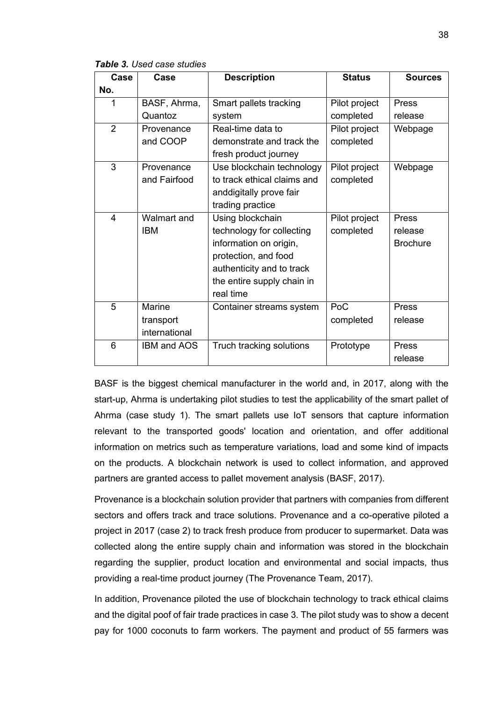*Table 3. Used case studies* 

| Case           | Case               | <b>Description</b>          | <b>Status</b> | <b>Sources</b>  |
|----------------|--------------------|-----------------------------|---------------|-----------------|
| No.            |                    |                             |               |                 |
| 1              | BASF, Ahrma,       | Smart pallets tracking      | Pilot project | <b>Press</b>    |
|                | Quantoz            | system                      | completed     | release         |
| $\overline{2}$ | Provenance         | Real-time data to           | Pilot project | Webpage         |
|                | and COOP           | demonstrate and track the   | completed     |                 |
|                |                    | fresh product journey       |               |                 |
| 3              | Provenance         | Use blockchain technology   | Pilot project | Webpage         |
|                | and Fairfood       | to track ethical claims and | completed     |                 |
|                |                    | anddigitally prove fair     |               |                 |
|                |                    | trading practice            |               |                 |
| $\overline{4}$ | <b>Walmart and</b> | Using blockchain            | Pilot project | <b>Press</b>    |
|                | <b>IBM</b>         | technology for collecting   | completed     | release         |
|                |                    | information on origin,      |               | <b>Brochure</b> |
|                |                    | protection, and food        |               |                 |
|                |                    | authenticity and to track   |               |                 |
|                |                    | the entire supply chain in  |               |                 |
|                |                    | real time                   |               |                 |
| 5              | Marine             | Container streams system    | PoC           | <b>Press</b>    |
|                | transport          |                             | completed     | release         |
|                | international      |                             |               |                 |
| 6              | <b>IBM and AOS</b> | Truch tracking solutions    | Prototype     | <b>Press</b>    |
|                |                    |                             |               | release         |

BASF is the biggest chemical manufacturer in the world and, in 2017, along with the start-up, Ahrma is undertaking pilot studies to test the applicability of the smart pallet of Ahrma (case study 1). The smart pallets use IoT sensors that capture information relevant to the transported goods' location and orientation, and offer additional information on metrics such as temperature variations, load and some kind of impacts on the products. A blockchain network is used to collect information, and approved partners are granted access to pallet movement analysis (BASF, 2017).

Provenance is a blockchain solution provider that partners with companies from different sectors and offers track and trace solutions. Provenance and a co-operative piloted a project in 2017 (case 2) to track fresh produce from producer to supermarket. Data was collected along the entire supply chain and information was stored in the blockchain regarding the supplier, product location and environmental and social impacts, thus providing a real-time product journey (The Provenance Team, 2017).

In addition, Provenance piloted the use of blockchain technology to track ethical claims and the digital poof of fair trade practices in case 3. The pilot study was to show a decent pay for 1000 coconuts to farm workers. The payment and product of 55 farmers was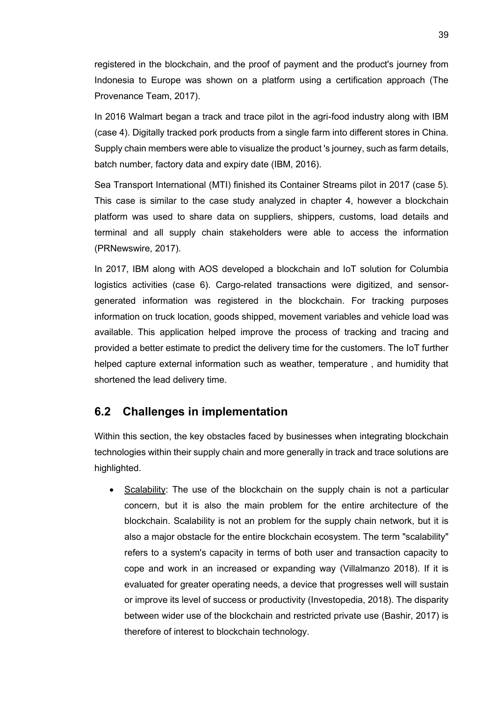registered in the blockchain, and the proof of payment and the product's journey from Indonesia to Europe was shown on a platform using a certification approach (The Provenance Team, 2017).

In 2016 Walmart began a track and trace pilot in the agri-food industry along with IBM (case 4). Digitally tracked pork products from a single farm into different stores in China. Supply chain members were able to visualize the product 's journey, such as farm details, batch number, factory data and expiry date (IBM, 2016).

Sea Transport International (MTI) finished its Container Streams pilot in 2017 (case 5). This case is similar to the case study analyzed in chapter 4, however a blockchain platform was used to share data on suppliers, shippers, customs, load details and terminal and all supply chain stakeholders were able to access the information (PRNewswire, 2017).

In 2017, IBM along with AOS developed a blockchain and IoT solution for Columbia logistics activities (case 6). Cargo-related transactions were digitized, and sensorgenerated information was registered in the blockchain. For tracking purposes information on truck location, goods shipped, movement variables and vehicle load was available. This application helped improve the process of tracking and tracing and provided a better estimate to predict the delivery time for the customers. The IoT further helped capture external information such as weather, temperature , and humidity that shortened the lead delivery time.

#### <span id="page-42-0"></span>**6.2 Challenges in implementation**

Within this section, the key obstacles faced by businesses when integrating blockchain technologies within their supply chain and more generally in track and trace solutions are highlighted.

Scalability: The use of the blockchain on the supply chain is not a particular concern, but it is also the main problem for the entire architecture of the blockchain. Scalability is not an problem for the supply chain network, but it is also a major obstacle for the entire blockchain ecosystem. The term "scalability" refers to a system's capacity in terms of both user and transaction capacity to cope and work in an increased or expanding way (Villalmanzo 2018). If it is evaluated for greater operating needs, a device that progresses well will sustain or improve its level of success or productivity (Investopedia, 2018). The disparity between wider use of the blockchain and restricted private use (Bashir, 2017) is therefore of interest to blockchain technology.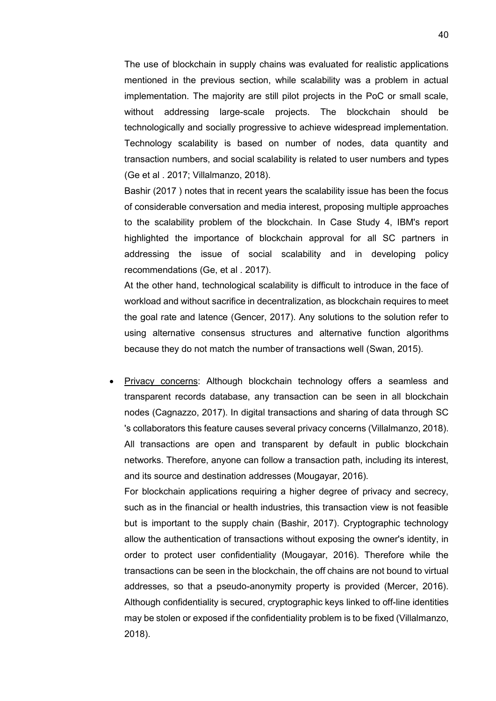The use of blockchain in supply chains was evaluated for realistic applications mentioned in the previous section, while scalability was a problem in actual implementation. The majority are still pilot projects in the PoC or small scale, without addressing large-scale projects. The blockchain should be technologically and socially progressive to achieve widespread implementation. Technology scalability is based on number of nodes, data quantity and transaction numbers, and social scalability is related to user numbers and types (Ge et al . 2017; Villalmanzo, 2018).

Bashir (2017 ) notes that in recent years the scalability issue has been the focus of considerable conversation and media interest, proposing multiple approaches to the scalability problem of the blockchain. In Case Study 4, IBM's report highlighted the importance of blockchain approval for all SC partners in addressing the issue of social scalability and in developing policy recommendations (Ge, et al . 2017).

At the other hand, technological scalability is difficult to introduce in the face of workload and without sacrifice in decentralization, as blockchain requires to meet the goal rate and latence (Gencer, 2017). Any solutions to the solution refer to using alternative consensus structures and alternative function algorithms because they do not match the number of transactions well (Swan, 2015).

• Privacy concerns: Although blockchain technology offers a seamless and transparent records database, any transaction can be seen in all blockchain nodes (Cagnazzo, 2017). In digital transactions and sharing of data through SC 's collaborators this feature causes several privacy concerns (Villalmanzo, 2018). All transactions are open and transparent by default in public blockchain networks. Therefore, anyone can follow a transaction path, including its interest, and its source and destination addresses (Mougayar, 2016).

For blockchain applications requiring a higher degree of privacy and secrecy, such as in the financial or health industries, this transaction view is not feasible but is important to the supply chain (Bashir, 2017). Cryptographic technology allow the authentication of transactions without exposing the owner's identity, in order to protect user confidentiality (Mougayar, 2016). Therefore while the transactions can be seen in the blockchain, the off chains are not bound to virtual addresses, so that a pseudo-anonymity property is provided (Mercer, 2016). Although confidentiality is secured, cryptographic keys linked to off-line identities may be stolen or exposed if the confidentiality problem is to be fixed (Villalmanzo, 2018).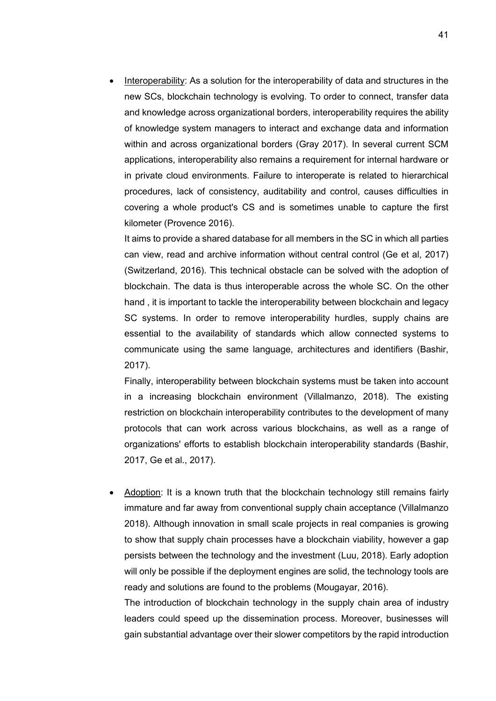• Interoperability: As a solution for the interoperability of data and structures in the new SCs, blockchain technology is evolving. To order to connect, transfer data and knowledge across organizational borders, interoperability requires the ability of knowledge system managers to interact and exchange data and information within and across organizational borders (Gray 2017). In several current SCM applications, interoperability also remains a requirement for internal hardware or in private cloud environments. Failure to interoperate is related to hierarchical procedures, lack of consistency, auditability and control, causes difficulties in covering a whole product's CS and is sometimes unable to capture the first kilometer (Provence 2016).

It aims to provide a shared database for all members in the SC in which all parties can view, read and archive information without central control (Ge et al, 2017) (Switzerland, 2016). This technical obstacle can be solved with the adoption of blockchain. The data is thus interoperable across the whole SC. On the other hand , it is important to tackle the interoperability between blockchain and legacy SC systems. In order to remove interoperability hurdles, supply chains are essential to the availability of standards which allow connected systems to communicate using the same language, architectures and identifiers (Bashir, 2017).

Finally, interoperability between blockchain systems must be taken into account in a increasing blockchain environment (Villalmanzo, 2018). The existing restriction on blockchain interoperability contributes to the development of many protocols that can work across various blockchains, as well as a range of organizations' efforts to establish blockchain interoperability standards (Bashir, 2017, Ge et al., 2017).

• Adoption: It is a known truth that the blockchain technology still remains fairly immature and far away from conventional supply chain acceptance (Villalmanzo 2018). Although innovation in small scale projects in real companies is growing to show that supply chain processes have a blockchain viability, however a gap persists between the technology and the investment (Luu, 2018). Early adoption will only be possible if the deployment engines are solid, the technology tools are ready and solutions are found to the problems (Mougayar, 2016).

The introduction of blockchain technology in the supply chain area of industry leaders could speed up the dissemination process. Moreover, businesses will gain substantial advantage over their slower competitors by the rapid introduction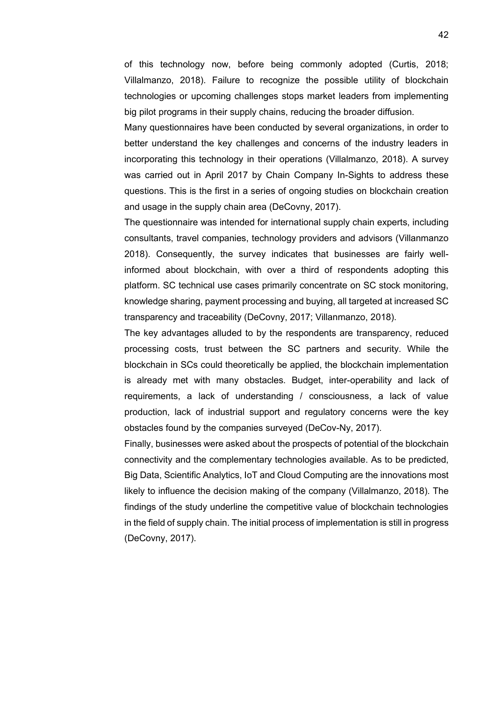of this technology now, before being commonly adopted (Curtis, 2018; Villalmanzo, 2018). Failure to recognize the possible utility of blockchain technologies or upcoming challenges stops market leaders from implementing big pilot programs in their supply chains, reducing the broader diffusion.

Many questionnaires have been conducted by several organizations, in order to better understand the key challenges and concerns of the industry leaders in incorporating this technology in their operations (Villalmanzo, 2018). A survey was carried out in April 2017 by Chain Company In-Sights to address these questions. This is the first in a series of ongoing studies on blockchain creation and usage in the supply chain area (DeCovny, 2017).

The questionnaire was intended for international supply chain experts, including consultants, travel companies, technology providers and advisors (Villanmanzo 2018). Consequently, the survey indicates that businesses are fairly wellinformed about blockchain, with over a third of respondents adopting this platform. SC technical use cases primarily concentrate on SC stock monitoring, knowledge sharing, payment processing and buying, all targeted at increased SC transparency and traceability (DeCovny, 2017; Villanmanzo, 2018).

The key advantages alluded to by the respondents are transparency, reduced processing costs, trust between the SC partners and security. While the blockchain in SCs could theoretically be applied, the blockchain implementation is already met with many obstacles. Budget, inter-operability and lack of requirements, a lack of understanding / consciousness, a lack of value production, lack of industrial support and regulatory concerns were the key obstacles found by the companies surveyed (DeCov-Ny, 2017).

Finally, businesses were asked about the prospects of potential of the blockchain connectivity and the complementary technologies available. As to be predicted, Big Data, Scientific Analytics, IoT and Cloud Computing are the innovations most likely to influence the decision making of the company (Villalmanzo, 2018). The findings of the study underline the competitive value of blockchain technologies in the field of supply chain. The initial process of implementation is still in progress (DeCovny, 2017).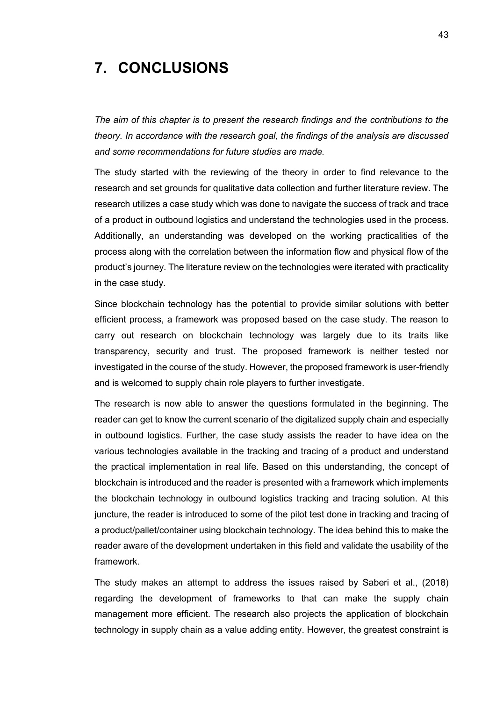# <span id="page-46-0"></span>**7. CONCLUSIONS**

*The aim of this chapter is to present the research findings and the contributions to the theory. In accordance with the research goal, the findings of the analysis are discussed and some recommendations for future studies are made.*

The study started with the reviewing of the theory in order to find relevance to the research and set grounds for qualitative data collection and further literature review. The research utilizes a case study which was done to navigate the success of track and trace of a product in outbound logistics and understand the technologies used in the process. Additionally, an understanding was developed on the working practicalities of the process along with the correlation between the information flow and physical flow of the product's journey. The literature review on the technologies were iterated with practicality in the case study.

Since blockchain technology has the potential to provide similar solutions with better efficient process, a framework was proposed based on the case study. The reason to carry out research on blockchain technology was largely due to its traits like transparency, security and trust. The proposed framework is neither tested nor investigated in the course of the study. However, the proposed framework is user-friendly and is welcomed to supply chain role players to further investigate.

The research is now able to answer the questions formulated in the beginning. The reader can get to know the current scenario of the digitalized supply chain and especially in outbound logistics. Further, the case study assists the reader to have idea on the various technologies available in the tracking and tracing of a product and understand the practical implementation in real life. Based on this understanding, the concept of blockchain is introduced and the reader is presented with a framework which implements the blockchain technology in outbound logistics tracking and tracing solution. At this juncture, the reader is introduced to some of the pilot test done in tracking and tracing of a product/pallet/container using blockchain technology. The idea behind this to make the reader aware of the development undertaken in this field and validate the usability of the framework.

The study makes an attempt to address the issues raised by Saberi et al., (2018) regarding the development of frameworks to that can make the supply chain management more efficient. The research also projects the application of blockchain technology in supply chain as a value adding entity. However, the greatest constraint is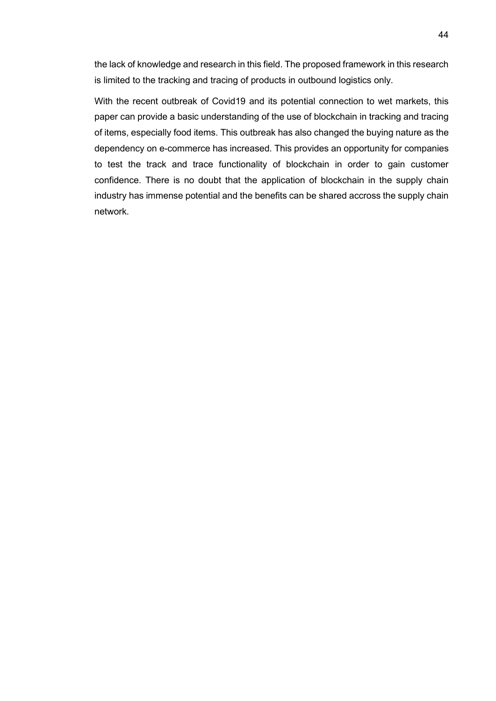the lack of knowledge and research in this field. The proposed framework in this research is limited to the tracking and tracing of products in outbound logistics only.

With the recent outbreak of Covid19 and its potential connection to wet markets, this paper can provide a basic understanding of the use of blockchain in tracking and tracing of items, especially food items. This outbreak has also changed the buying nature as the dependency on e-commerce has increased. This provides an opportunity for companies to test the track and trace functionality of blockchain in order to gain customer confidence. There is no doubt that the application of blockchain in the supply chain industry has immense potential and the benefits can be shared accross the supply chain network.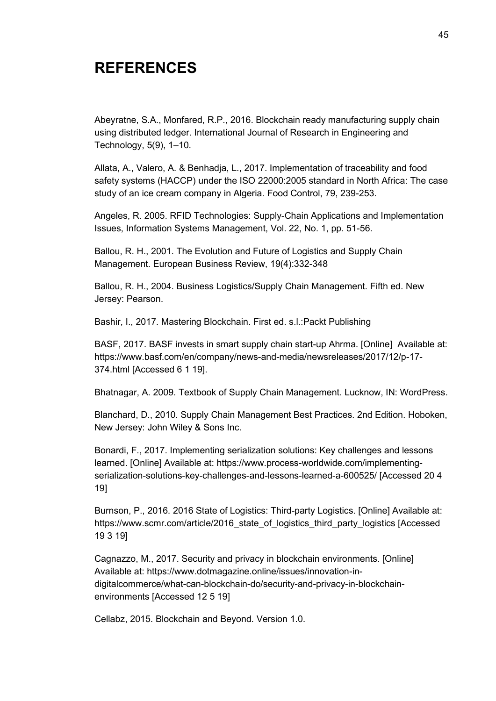# <span id="page-48-0"></span>**REFERENCES**

Abeyratne, S.A., Monfared, R.P., 2016. Blockchain ready manufacturing supply chain using distributed ledger. International Journal of Research in Engineering and Technology, 5(9), 1–10.

Allata, A., Valero, A. & Benhadja, L., 2017. Implementation of traceability and food safety systems (HACCP) under the ISO 22000:2005 standard in North Africa: The case study of an ice cream company in Algeria. Food Control, 79, 239-253.

Angeles, R. 2005. RFID Technologies: Supply-Chain Applications and Implementation Issues, Information Systems Management, Vol. 22, No. 1, pp. 51-56.

Ballou, R. H., 2001. The Evolution and Future of Logistics and Supply Chain Management. European Business Review, 19(4):332-348

Ballou, R. H., 2004. Business Logistics/Supply Chain Management. Fifth ed. New Jersey: Pearson.

Bashir, I., 2017. Mastering Blockchain. First ed. s.l.:Packt Publishing

BASF, 2017. BASF invests in smart supply chain start-up Ahrma. [Online] Available at: https://www.basf.com/en/company/news-and-media/newsreleases/2017/12/p-17- 374.html [Accessed 6 1 19].

Bhatnagar, A. 2009. Textbook of Supply Chain Management. Lucknow, IN: WordPress.

Blanchard, D., 2010. Supply Chain Management Best Practices. 2nd Edition. Hoboken, New Jersey: John Wiley & Sons Inc.

Bonardi, F., 2017. Implementing serialization solutions: Key challenges and lessons learned. [Online] Available at: https://www.process-worldwide.com/implementingserialization-solutions-key-challenges-and-lessons-learned-a-600525/ [Accessed 20 4 19]

Burnson, P., 2016. 2016 State of Logistics: Third-party Logistics. [Online] Available at: https://www.scmr.com/article/2016 state of logistics third party logistics [Accessed 19 3 19]

Cagnazzo, M., 2017. Security and privacy in blockchain environments. [Online] Available at: https://www.dotmagazine.online/issues/innovation-indigitalcommerce/what-can-blockchain-do/security-and-privacy-in-blockchainenvironments [Accessed 12 5 19]

Cellabz, 2015. Blockchain and Beyond. Version 1.0.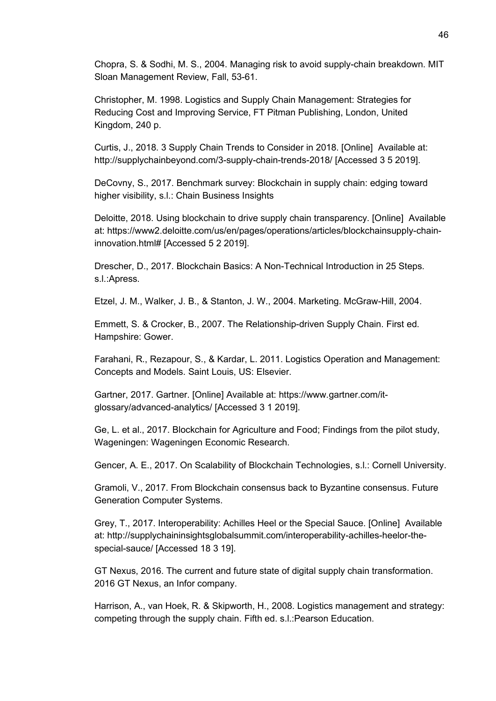Chopra, S. & Sodhi, M. S., 2004. Managing risk to avoid supply-chain breakdown. MIT Sloan Management Review, Fall, 53-61.

Christopher, M. 1998. Logistics and Supply Chain Management: Strategies for Reducing Cost and Improving Service, FT Pitman Publishing, London, United Kingdom, 240 p.

Curtis, J., 2018. 3 Supply Chain Trends to Consider in 2018. [Online] Available at: http://supplychainbeyond.com/3-supply-chain-trends-2018/ [Accessed 3 5 2019].

DeCovny, S., 2017. Benchmark survey: Blockchain in supply chain: edging toward higher visibility, s.l.: Chain Business Insights

Deloitte, 2018. Using blockchain to drive supply chain transparency. [Online] Available at: https://www2.deloitte.com/us/en/pages/operations/articles/blockchainsupply-chaininnovation.html# [Accessed 5 2 2019].

Drescher, D., 2017. Blockchain Basics: A Non-Technical Introduction in 25 Steps. s.l.:Apress.

Etzel, J. M., Walker, J. B., & Stanton, J. W., 2004. Marketing. McGraw-Hill, 2004.

Emmett, S. & Crocker, B., 2007. The Relationship-driven Supply Chain. First ed. Hampshire: Gower.

Farahani, R., Rezapour, S., & Kardar, L. 2011. Logistics Operation and Management: Concepts and Models. Saint Louis, US: Elsevier.

Gartner, 2017. Gartner. [Online] Available at: https://www.gartner.com/itglossary/advanced-analytics/ [Accessed 3 1 2019].

Ge, L. et al., 2017. Blockchain for Agriculture and Food; Findings from the pilot study, Wageningen: Wageningen Economic Research.

Gencer, A. E., 2017. On Scalability of Blockchain Technologies, s.l.: Cornell University.

Gramoli, V., 2017. From Blockchain consensus back to Byzantine consensus. Future Generation Computer Systems.

Grey, T., 2017. Interoperability: Achilles Heel or the Special Sauce. [Online] Available at: http://supplychaininsightsglobalsummit.com/interoperability-achilles-heelor-thespecial-sauce/ [Accessed 18 3 19].

GT Nexus, 2016. The current and future state of digital supply chain transformation. 2016 GT Nexus, an Infor company.

Harrison, A., van Hoek, R. & Skipworth, H., 2008. Logistics management and strategy: competing through the supply chain. Fifth ed. s.l.:Pearson Education.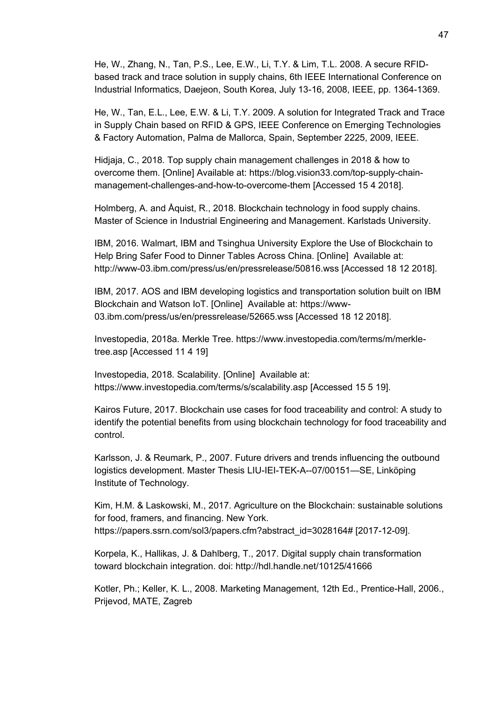He, W., Zhang, N., Tan, P.S., Lee, E.W., Li, T.Y. & Lim, T.L. 2008. A secure RFIDbased track and trace solution in supply chains, 6th IEEE International Conference on Industrial Informatics, Daejeon, South Korea, July 13-16, 2008, IEEE, pp. 1364-1369.

He, W., Tan, E.L., Lee, E.W. & Li, T.Y. 2009. A solution for Integrated Track and Trace in Supply Chain based on RFID & GPS, IEEE Conference on Emerging Technologies & Factory Automation, Palma de Mallorca, Spain, September 2225, 2009, IEEE.

Hidjaja, C., 2018. Top supply chain management challenges in 2018 & how to overcome them. [Online] Available at: https://blog.vision33.com/top-supply-chainmanagement-challenges-and-how-to-overcome-them [Accessed 15 4 2018].

Holmberg, A. and Åquist, R., 2018. Blockchain technology in food supply chains. Master of Science in Industrial Engineering and Management. Karlstads University.

IBM, 2016. Walmart, IBM and Tsinghua University Explore the Use of Blockchain to Help Bring Safer Food to Dinner Tables Across China. [Online] Available at: http://www-03.ibm.com/press/us/en/pressrelease/50816.wss [Accessed 18 12 2018].

IBM, 2017. AOS and IBM developing logistics and transportation solution built on IBM Blockchain and Watson IoT. [Online] Available at: https://www-03.ibm.com/press/us/en/pressrelease/52665.wss [Accessed 18 12 2018].

Investopedia, 2018a. Merkle Tree. https://www.investopedia.com/terms/m/merkletree.asp [Accessed 11 4 19]

Investopedia, 2018. Scalability. [Online] Available at: https://www.investopedia.com/terms/s/scalability.asp [Accessed 15 5 19].

Kairos Future, 2017. Blockchain use cases for food traceability and control: A study to identify the potential benefits from using blockchain technology for food traceability and control.

Karlsson, J. & Reumark, P., 2007. Future drivers and trends influencing the outbound logistics development. Master Thesis LIU-IEI-TEK-A--07/00151—SE, Linköping Institute of Technology.

Kim, H.M. & Laskowski, M., 2017. Agriculture on the Blockchain: sustainable solutions for food, framers, and financing. New York. https://papers.ssrn.com/sol3/papers.cfm?abstract\_id=3028164# [2017-12-09].

Korpela, K., Hallikas, J. & Dahlberg, T., 2017. Digital supply chain transformation toward blockchain integration. doi: http://hdl.handle.net/10125/41666

Kotler, Ph.; Keller, K. L., 2008. Marketing Management, 12th Ed., Prentice-Hall, 2006., Prijevod, MATE, Zagreb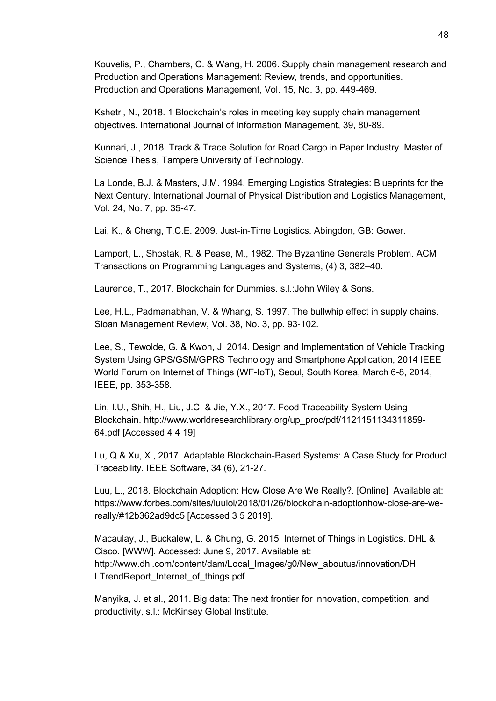Kouvelis, P., Chambers, C. & Wang, H. 2006. Supply chain management research and Production and Operations Management: Review, trends, and opportunities. Production and Operations Management, Vol. 15, No. 3, pp. 449-469.

Kshetri, N., 2018. 1 Blockchain's roles in meeting key supply chain management objectives. International Journal of Information Management, 39, 80-89.

Kunnari, J., 2018. Track & Trace Solution for Road Cargo in Paper Industry. Master of Science Thesis, Tampere University of Technology.

La Londe, B.J. & Masters, J.M. 1994. Emerging Logistics Strategies: Blueprints for the Next Century. International Journal of Physical Distribution and Logistics Management, Vol. 24, No. 7, pp. 35-47.

Lai, K., & Cheng, T.C.E. 2009. Just-in-Time Logistics. Abingdon, GB: Gower.

Lamport, L., Shostak, R. & Pease, M., 1982. The Byzantine Generals Problem. ACM Transactions on Programming Languages and Systems, (4) 3, 382–40.

Laurence, T., 2017. Blockchain for Dummies. s.l.:John Wiley & Sons.

Lee, H.L., Padmanabhan, V. & Whang, S. 1997. The bullwhip effect in supply chains. Sloan Management Review, Vol. 38, No. 3, pp. 93‐102.

Lee, S., Tewolde, G. & Kwon, J. 2014. Design and Implementation of Vehicle Tracking System Using GPS/GSM/GPRS Technology and Smartphone Application, 2014 IEEE World Forum on Internet of Things (WF-IoT), Seoul, South Korea, March 6-8, 2014, IEEE, pp. 353-358.

Lin, I.U., Shih, H., Liu, J.C. & Jie, Y.X., 2017. Food Traceability System Using Blockchain. http://www.worldresearchlibrary.org/up\_proc/pdf/1121151134311859- 64.pdf [Accessed 4 4 19]

Lu, Q & Xu, X., 2017. Adaptable Blockchain-Based Systems: A Case Study for Product Traceability. IEEE Software, 34 (6), 21-27.

Luu, L., 2018. Blockchain Adoption: How Close Are We Really?. [Online] Available at: https://www.forbes.com/sites/luuloi/2018/01/26/blockchain-adoptionhow-close-are-wereally/#12b362ad9dc5 [Accessed 3 5 2019].

Macaulay, J., Buckalew, L. & Chung, G. 2015. Internet of Things in Logistics. DHL & Cisco. [WWW]. Accessed: June 9, 2017. Available at: http://www.dhl.com/content/dam/Local\_Images/g0/New\_aboutus/innovation/DH LTrendReport\_Internet\_of\_things.pdf.

Manyika, J. et al., 2011. Big data: The next frontier for innovation, competition, and productivity, s.l.: McKinsey Global Institute.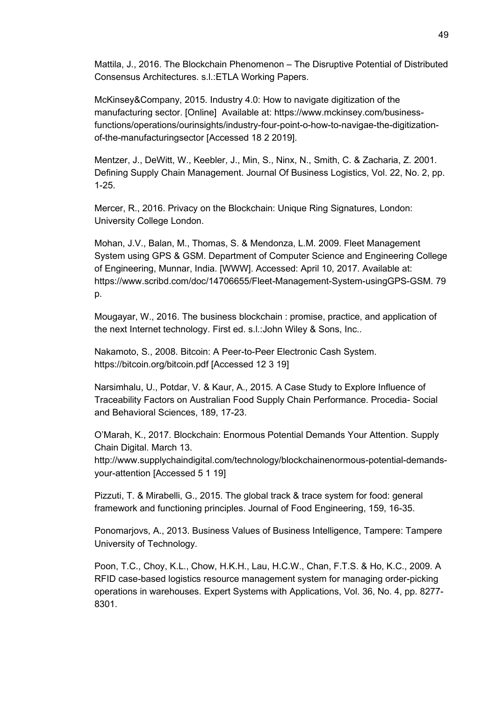Mattila, J., 2016. The Blockchain Phenomenon – The Disruptive Potential of Distributed Consensus Architectures. s.l.:ETLA Working Papers.

McKinsey&Company, 2015. Industry 4.0: How to navigate digitization of the manufacturing sector. [Online] Available at: https://www.mckinsey.com/businessfunctions/operations/ourinsights/industry-four-point-o-how-to-navigae-the-digitizationof-the-manufacturingsector [Accessed 18 2 2019].

Mentzer, J., DeWitt, W., Keebler, J., Min, S., Ninx, N., Smith, C. & Zacharia, Z. 2001. Defining Supply Chain Management. Journal Of Business Logistics, Vol. 22, No. 2, pp. 1-25.

Mercer, R., 2016. Privacy on the Blockchain: Unique Ring Signatures, London: University College London.

Mohan, J.V., Balan, M., Thomas, S. & Mendonza, L.M. 2009. Fleet Management System using GPS & GSM. Department of Computer Science and Engineering College of Engineering, Munnar, India. [WWW]. Accessed: April 10, 2017. Available at: https://www.scribd.com/doc/14706655/Fleet-Management-System-usingGPS-GSM. 79 p.

Mougayar, W., 2016. The business blockchain : promise, practice, and application of the next Internet technology. First ed. s.l.:John Wiley & Sons, Inc..

Nakamoto, S., 2008. Bitcoin: A Peer-to-Peer Electronic Cash System. https://bitcoin.org/bitcoin.pdf [Accessed 12 3 19]

Narsimhalu, U., Potdar, V. & Kaur, A., 2015. A Case Study to Explore Influence of Traceability Factors on Australian Food Supply Chain Performance. Procedia- Social and Behavioral Sciences, 189, 17-23.

O'Marah, K., 2017. Blockchain: Enormous Potential Demands Your Attention. Supply Chain Digital. March 13.

http://www.supplychaindigital.com/technology/blockchainenormous-potential-demandsyour-attention [Accessed 5 1 19]

Pizzuti, T. & Mirabelli, G., 2015. The global track & trace system for food: general framework and functioning principles. Journal of Food Engineering, 159, 16-35.

Ponomarjovs, A., 2013. Business Values of Business Intelligence, Tampere: Tampere University of Technology.

Poon, T.C., Choy, K.L., Chow, H.K.H., Lau, H.C.W., Chan, F.T.S. & Ho, K.C., 2009. A RFID case-based logistics resource management system for managing order-picking operations in warehouses. Expert Systems with Applications, Vol. 36, No. 4, pp. 8277- 8301.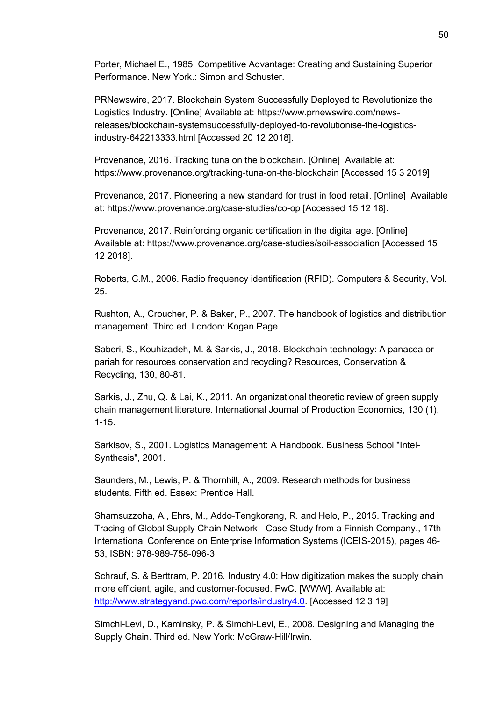Porter, Michael E., 1985. Competitive Advantage: Creating and Sustaining Superior Performance. New York.: Simon and Schuster.

PRNewswire, 2017. Blockchain System Successfully Deployed to Revolutionize the Logistics Industry. [Online] Available at: https://www.prnewswire.com/newsreleases/blockchain-systemsuccessfully-deployed-to-revolutionise-the-logisticsindustry-642213333.html [Accessed 20 12 2018].

Provenance, 2016. Tracking tuna on the blockchain. [Online] Available at: https://www.provenance.org/tracking-tuna-on-the-blockchain [Accessed 15 3 2019]

Provenance, 2017. Pioneering a new standard for trust in food retail. [Online] Available at: https://www.provenance.org/case-studies/co-op [Accessed 15 12 18].

Provenance, 2017. Reinforcing organic certification in the digital age. [Online] Available at: https://www.provenance.org/case-studies/soil-association [Accessed 15 12 2018].

Roberts, C.M., 2006. Radio frequency identification (RFID). Computers & Security, Vol. 25.

Rushton, A., Croucher, P. & Baker, P., 2007. The handbook of logistics and distribution management. Third ed. London: Kogan Page.

Saberi, S., Kouhizadeh, M. & Sarkis, J., 2018. Blockchain technology: A panacea or pariah for resources conservation and recycling? Resources, Conservation & Recycling, 130, 80-81.

Sarkis, J., Zhu, Q. & Lai, K., 2011. An organizational theoretic review of green supply chain management literature. International Journal of Production Economics, 130 (1), 1-15.

Sarkisov, S., 2001. Logistics Management: A Handbook. Business School "Intel-Synthesis", 2001.

Saunders, M., Lewis, P. & Thornhill, A., 2009. Research methods for business students. Fifth ed. Essex: Prentice Hall.

Shamsuzzoha, A., Ehrs, M., Addo-Tengkorang, R. and Helo, P., 2015. Tracking and Tracing of Global Supply Chain Network - Case Study from a Finnish Company., 17th International Conference on Enterprise Information Systems (ICEIS-2015), pages 46- 53, ISBN: 978-989-758-096-3

Schrauf, S. & Berttram, P. 2016. Industry 4.0: How digitization makes the supply chain more efficient, agile, and customer-focused. PwC. [WWW]. Available at: [http://www.strategyand.pwc.com/reports/industry4.0.](http://www.strategyand.pwc.com/reports/industry4.0) [Accessed 12 3 19]

Simchi-Levi, D., Kaminsky, P. & Simchi-Levi, E., 2008. Designing and Managing the Supply Chain. Third ed. New York: McGraw-Hill/Irwin.